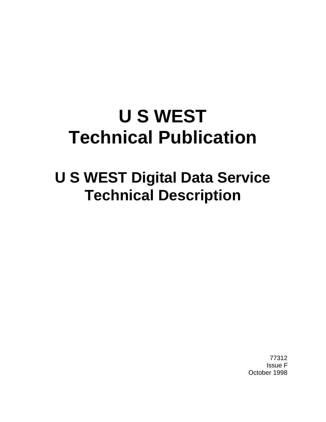# **U S WEST Technical Publication**

## **U S WEST Digital Data Service Technical Description**

77312 Issue F October 1998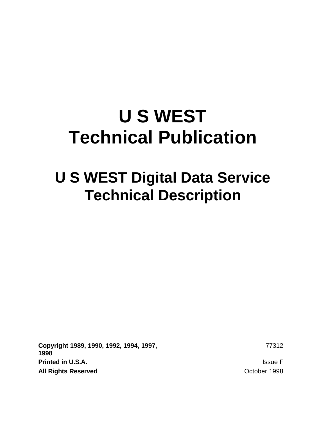# **U S WEST Technical Publication**

## **U S WEST Digital Data Service Technical Description**

**Copyright 1989, 1990, 1992, 1994, 1997, 1998 Printed in U.S.A. Issue F All Rights Reserved Contract Contract Contract Contract Contract Contract Contract Contract Contract Contract Contract Contract Contract Contract Contract Contract Contract Contract Contract Contract Contract Contract C** 

77312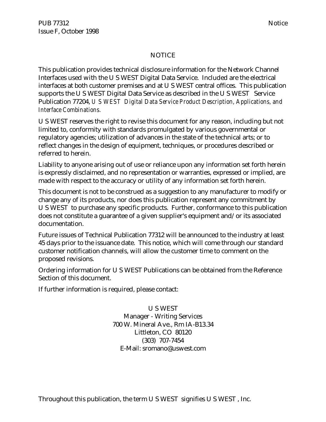#### NOTICE

This publication provides technical disclosure information for the Network Channel Interfaces used with the U S WEST Digital Data Service. Included are the electrical interfaces at both customer premises and at U S WEST central offices. This publication supports the U S WEST Digital Data Service as described in the U S WEST Service Publication 77204, *U S WEST Digital Data Service Product Description, Applications, and Interface Combinations.*

U S WEST reserves the right to revise this document for any reason, including but not limited to, conformity with standards promulgated by various governmental or regulatory agencies; utilization of advances in the state of the technical arts; or to reflect changes in the design of equipment, techniques, or procedures described or referred to herein.

Liability to anyone arising out of use or reliance upon any information set forth herein is expressly disclaimed, and no representation or warranties, expressed or implied, are made with respect to the accuracy or utility of any information set forth herein.

This document is not to be construed as a suggestion to any manufacturer to modify or change any of its products, nor does this publication represent any commitment by U S WEST to purchase any specific products. Further, conformance to this publication does not constitute a guarantee of a given supplier's equipment and/or its associated documentation.

Future issues of Technical Publication 77312 will be announced to the industry at least 45 days prior to the issuance date. This notice, which will come through our standard customer notification channels, will allow the customer time to comment on the proposed revisions.

Ordering information for U S WEST Publications can be obtained from the Reference Section of this document.

If further information is required, please contact:

U S WEST Manager - Writing Services 700 W. Mineral Ave., Rm IA-B13.34 Littleton, CO 80120 (303) 707-7454 E-Mail: sromano@uswest.com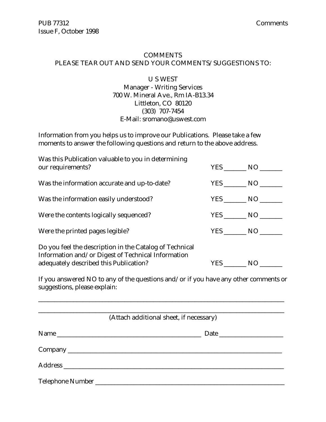#### COMMENTS PLEASE TEAR OUT AND SEND YOUR COMMENTS/SUGGESTIONS TO:

#### U S WEST Manager - Writing Services 700 W. Mineral Ave., Rm IA-B13.34 Littleton, CO 80120 (303) 707-7454 E-Mail: sromano@uswest.com

Information from you helps us to improve our Publications. Please take a few moments to answer the following questions and return to the above address.

| Was this Publication valuable to you in determining<br>our requirements?                                                                                |                   | $YES$ NO $\qquad$ |
|---------------------------------------------------------------------------------------------------------------------------------------------------------|-------------------|-------------------|
| Was the information accurate and up-to-date?                                                                                                            |                   | YES NO            |
| Was the information easily understood?                                                                                                                  | $YES$ NO $\qquad$ |                   |
| Were the contents logically sequenced?                                                                                                                  | YES NO            |                   |
| Were the printed pages legible?                                                                                                                         |                   | $YES$ NO $\qquad$ |
| Do you feel the description in the Catalog of Technical<br>Information and/or Digest of Technical Information<br>adequately described this Publication? | YES NO            |                   |

If you answered NO to any of the questions and/or if you have any other comments or suggestions, please explain:

\_\_\_\_\_\_\_\_\_\_\_\_\_\_\_\_\_\_\_\_\_\_\_\_\_\_\_\_\_\_\_\_\_\_\_\_\_\_\_\_\_\_\_\_\_\_\_\_\_\_\_\_\_\_\_\_\_\_\_\_\_\_\_\_\_\_\_\_\_\_\_\_\_\_\_\_\_

| (Attach additional sheet, if necessary) |  |  |  |
|-----------------------------------------|--|--|--|
|                                         |  |  |  |
|                                         |  |  |  |
|                                         |  |  |  |
|                                         |  |  |  |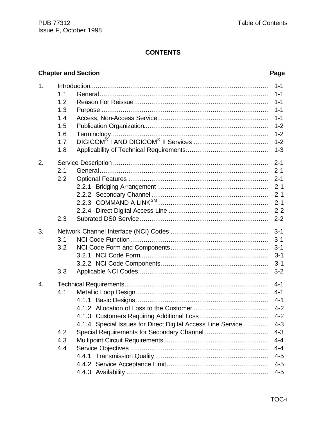#### **CONTENTS**

#### **Chapter and Section**

#### Page

| 1. |     |                                                             | $1 - 1$ |
|----|-----|-------------------------------------------------------------|---------|
|    | 1.1 |                                                             | $1 - 1$ |
|    | 1.2 |                                                             | $1 - 1$ |
|    | 1.3 |                                                             | $1 - 1$ |
|    | 1.4 |                                                             | $1 - 1$ |
|    | 1.5 |                                                             | $1 - 2$ |
|    | 1.6 |                                                             | $1 - 2$ |
|    | 1.7 |                                                             | $1 - 2$ |
|    | 1.8 |                                                             | $1 - 3$ |
| 2. |     |                                                             | $2 - 1$ |
|    | 2.1 |                                                             | $2 - 1$ |
|    | 2.2 |                                                             | $2 - 1$ |
|    |     | 2.2.1                                                       | $2 - 1$ |
|    |     |                                                             | $2 - 1$ |
|    |     |                                                             | $2 - 1$ |
|    |     |                                                             | $2 - 2$ |
|    | 2.3 |                                                             |         |
| 3. |     |                                                             | $3 - 1$ |
|    | 3.1 |                                                             | $3 - 1$ |
|    | 3.2 |                                                             | $3 - 1$ |
|    |     |                                                             |         |
|    |     |                                                             |         |
|    | 3.3 |                                                             | $3 - 2$ |
| 4. |     |                                                             | $4 - 1$ |
|    | 4.1 |                                                             | $4 - 1$ |
|    |     | 4.1.1                                                       | $4 - 1$ |
|    |     |                                                             | $4 - 2$ |
|    |     |                                                             | $4 - 2$ |
|    |     | 4.1.4 Special Issues for Direct Digital Access Line Service | $4 - 3$ |
|    | 4.2 |                                                             | $4 - 3$ |
|    | 4.3 |                                                             | $4 - 4$ |
|    | 4.4 |                                                             | $4 - 4$ |
|    |     |                                                             | $4 - 5$ |
|    |     |                                                             | $4 - 5$ |
|    |     |                                                             | $4 - 5$ |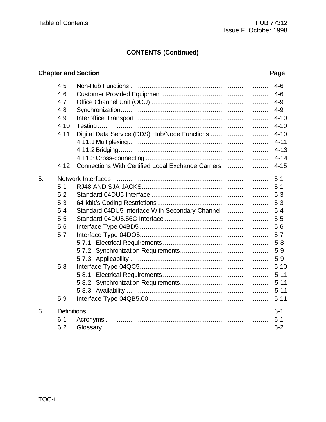## **CONTENTS (Continued)**

#### **Chapter and Section**

#### Page

|    | 4.5<br>4.6<br>4.7<br>4.8<br>4.9<br>4.10<br>4.11             | Digital Data Service (DDS) Hub/Node Functions      | $4 - 6$<br>$4 - 6$<br>$4 - 9$<br>$4 - 9$<br>$4 - 10$<br>$4 - 10$<br>$4 - 10$<br>$4 - 11$<br>$4 - 13$<br>$4 - 14$                                                 |
|----|-------------------------------------------------------------|----------------------------------------------------|------------------------------------------------------------------------------------------------------------------------------------------------------------------|
|    | 4.12                                                        | Connections With Certified Local Exchange Carriers | $4 - 15$                                                                                                                                                         |
| 5. | 5.1<br>5.2<br>5.3<br>5.4<br>5.5<br>5.6<br>5.7<br>5.8<br>5.9 | Standard 04DU5 Interface With Secondary Channel    | $5 - 1$<br>$5 - 1$<br>$5 - 3$<br>$5 - 3$<br>$5 - 4$<br>$5-5$<br>$5 - 7$<br>$5 - 8$<br>$5-9$<br>$5-9$<br>$5 - 10$<br>$5 - 11$<br>$5 - 11$<br>$5 - 11$<br>$5 - 11$ |
| 6. | 6.1<br>6.2                                                  |                                                    | $6 - 1$<br>$6 - 1$<br>$6 - 2$                                                                                                                                    |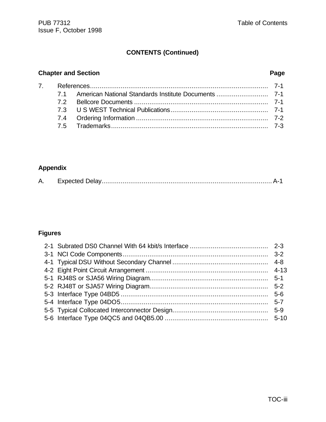## **CONTENTS (Continued)**

#### **Chapter and Section** *Page*

#### **Appendix**

| Α. |  |  |  |
|----|--|--|--|
|----|--|--|--|

#### **Figures**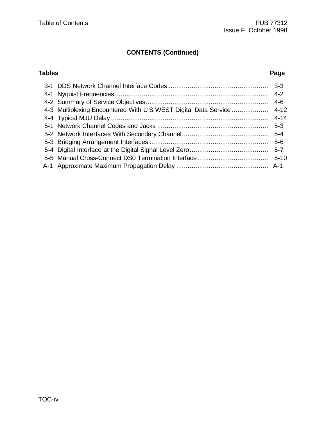## **CONTENTS (Continued)**

#### **Tables Page**

| 4-3 Multiplexing Encountered With U S WEST Digital Data Service  4-12 |          |
|-----------------------------------------------------------------------|----------|
|                                                                       | $4 - 14$ |
|                                                                       |          |
|                                                                       |          |
|                                                                       |          |
|                                                                       |          |
|                                                                       |          |
|                                                                       |          |
|                                                                       |          |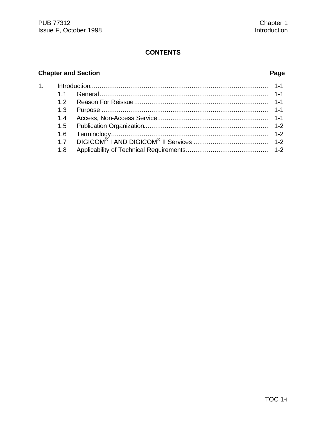#### **CONTENTS**

#### **Chapter and Section**

 $1.$ 

#### Page

| 1.4 |  |
|-----|--|
|     |  |
|     |  |
|     |  |
| 1.8 |  |
|     |  |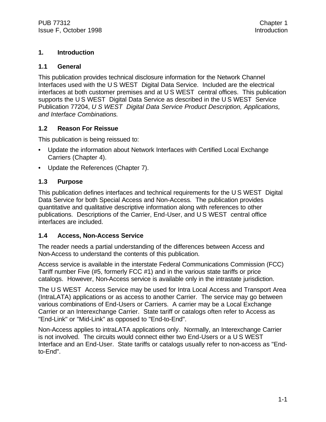#### **1. Introduction**

#### **1.1 General**

This publication provides technical disclosure information for the Network Channel Interfaces used with the U S WEST Digital Data Service. Included are the electrical interfaces at both customer premises and at U S WEST central offices. This publication supports the U S WEST Digital Data Service as described in the U S WEST Service Publication 77204, *U S WEST Digital Data Service Product Description, Applications, and Interface Combinations.*

#### **1.2 Reason For Reissue**

This publication is being reissued to:

- Update the information about Network Interfaces with Certified Local Exchange Carriers (Chapter 4).
- Update the References (Chapter 7).

#### **1.3 Purpose**

This publication defines interfaces and technical requirements for the U S WEST Digital Data Service for both Special Access and Non-Access. The publication provides quantitative and qualitative descriptive information along with references to other publications. Descriptions of the Carrier, End-User, and U S WEST central office interfaces are included.

#### **1.4 Access, Non-Access Service**

The reader needs a partial understanding of the differences between Access and Non-Access to understand the contents of this publication.

Access service is available in the interstate Federal Communications Commission (FCC) Tariff number Five (#5, formerly FCC #1) and in the various state tariffs or price catalogs. However, Non-Access service is available only in the intrastate jurisdiction.

The U S WEST Access Service may be used for Intra Local Access and Transport Area (IntraLATA) applications or as access to another Carrier. The service may go between various combinations of End-Users or Carriers. A carrier may be a Local Exchange Carrier or an Interexchange Carrier. State tariff or catalogs often refer to Access as "End-Link" or "Mid-Link" as opposed to "End-to-End".

Non-Access applies to intraLATA applications only. Normally, an Interexchange Carrier is not involved. The circuits would connect either two End-Users or a U S WEST Interface and an End-User. State tariffs or catalogs usually refer to non-access as "Endto-End".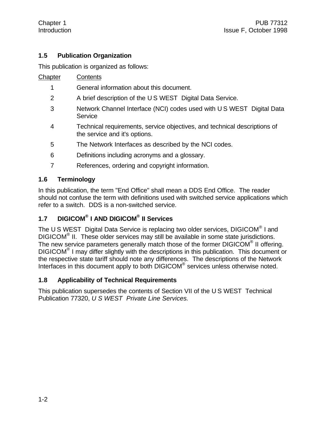#### **1.5 Publication Organization**

This publication is organized as follows:

Chapter Contents

- 1 General information about this document.
- 2 A brief description of the U S WEST Digital Data Service.
- 3 Network Channel Interface (NCI) codes used with U S WEST Digital Data **Service**
- 4 Technical requirements, service objectives, and technical descriptions of the service and it's options.
- 5 The Network Interfaces as described by the NCI codes.
- 6 Definitions including acronyms and a glossary.
- 7 References, ordering and copyright information.

#### **1.6 Terminology**

In this publication, the term "End Office" shall mean a DDS End Office. The reader should not confuse the term with definitions used with switched service applications which refer to a switch. DDS is a non-switched service.

#### **1.7 DIGICOM® I AND DIGICOM® II Services**

The US WEST Digital Data Service is replacing two older services, DIGICOM $^{\circledR}$  I and DIGICOM<sup>®</sup> II. These older services may still be available in some state jurisdictions. The new service parameters generally match those of the former DIGICOM<sup>®</sup> II offering. DIGICOM<sup>®</sup> I may differ slightly with the descriptions in this publication. This document or the respective state tariff should note any differences. The descriptions of the Network Interfaces in this document apply to both DIGICOM® services unless otherwise noted.

#### **1.8 Applicability of Technical Requirements**

This publication supersedes the contents of Section VII of the U S WEST Technical Publication 77320, *U S WEST Private Line Services.*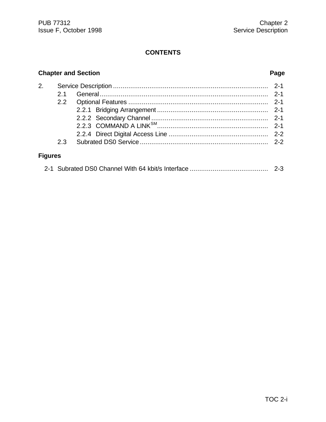#### **CONTENTS**

#### **Chapter and Section Page**

| 2.             |                |  |
|----------------|----------------|--|
|                | 2 <sub>1</sub> |  |
|                |                |  |
|                |                |  |
|                |                |  |
|                |                |  |
|                |                |  |
|                | 23             |  |
| <b>Figures</b> |                |  |

|--|--|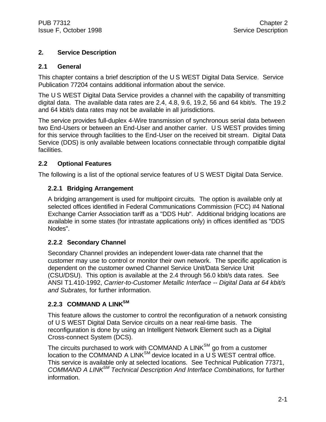#### **2. Service Description**

#### **2.1 General**

This chapter contains a brief description of the U S WEST Digital Data Service. Service Publication 77204 contains additional information about the service.

The U S WEST Digital Data Service provides a channel with the capability of transmitting digital data. The available data rates are 2.4, 4.8, 9.6, 19.2, 56 and 64 kbit/s. The 19.2 and 64 kbit/s data rates may not be available in all jurisdictions.

The service provides full-duplex 4-Wire transmission of synchronous serial data between two End-Users or between an End-User and another carrier. U S WEST provides timing for this service through facilities to the End-User on the received bit stream. Digital Data Service (DDS) is only available between locations connectable through compatible digital facilities.

#### **2.2 Optional Features**

The following is a list of the optional service features of U S WEST Digital Data Service.

#### **2.2.1 Bridging Arrangement**

A bridging arrangement is used for multipoint circuits. The option is available only at selected offices identified in Federal Communications Commission (FCC) #4 National Exchange Carrier Association tariff as a "DDS Hub". Additional bridging locations are available in some states (for intrastate applications only) in offices identified as "DDS Nodes".

#### **2.2.2 Secondary Channel**

Secondary Channel provides an independent lower-data rate channel that the customer may use to control or monitor their own network. The specific application is dependent on the customer owned Channel Service Unit/Data Service Unit (CSU/DSU). This option is available at the 2.4 through 56.0 kbit/s data rates. See ANSI T1.410-1992, *Carrier-to-Customer Metallic Interface -- Digital Data at 64 kbit/s and Subrates,* for further information.

#### **2.2.3 COMMAND A LINKSM**

This feature allows the customer to control the reconfiguration of a network consisting of U S WEST Digital Data Service circuits on a near real-time basis. The reconfiguration is done by using an Intelligent Network Element such as a Digital Cross-connect System (DCS).

The circuits purchased to work with COMMAND A LINK<sup>SM</sup> go from a customer location to the COMMAND A LINK<sup>SM</sup> device located in a U S WEST central office. This service is available only at selected locations. See Technical Publication 77371, *COMMAND A LINKSM Technical Description And Interface Combinations,* for further information.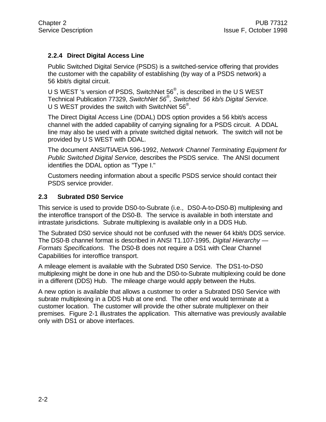#### **2.2.4 Direct Digital Access Line**

Public Switched Digital Service (PSDS) is a switched-service offering that provides the customer with the capability of establishing (by way of a PSDS network) a 56 kbit/s digital circuit.

U S WEST 's version of PSDS, SwitchNet  $56^{\circ}$ , is described in the U S WEST Technical Publication 77329, *SwitchNet 56® , Switched 56 kb/s Digital Service.* U S WEST provides the switch with SwitchNet  $56^{\circ}$ .

The Direct Digital Access Line (DDAL) DDS option provides a 56 kbit/s access channel with the added capability of carrying signaling for a PSDS circuit. A DDAL line may also be used with a private switched digital network. The switch will not be provided by U S WEST with DDAL.

The document ANSI/TIA/EIA 596-1992, *Network Channel Terminating Equipment for Public Switched Digital Service,* describes the PSDS service. The ANSI document identifies the DDAL option as "Type I."

Customers needing information about a specific PSDS service should contact their PSDS service provider.

#### **2.3 Subrated DS0 Service**

This service is used to provide DS0-to-Subrate (i.e., DS0-A-to-DS0-B) multiplexing and the interoffice transport of the DS0-B. The service is available in both interstate and intrastate jurisdictions. Subrate multiplexing is available only in a DDS Hub.

The Subrated DS0 service should not be confused with the newer 64 kbit/s DDS service. The DS0-B channel format is described in ANSI T1.107-1995, *Digital Hierarchy — Formats Specifications.* The DS0-B does not require a DS1 with Clear Channel Capabilities for interoffice transport.

A mileage element is available with the Subrated DS0 Service. The DS1-to-DS0 multiplexing might be done in one hub and the DS0-to-Subrate multiplexing could be done in a different (DDS) Hub. The mileage charge would apply between the Hubs.

A new option is available that allows a customer to order a Subrated DS0 Service with subrate multiplexing in a DDS Hub at one end. The other end would terminate at a customer location. The customer will provide the other subrate multiplexer on their premises. Figure 2-1 illustrates the application. This alternative was previously available only with DS1 or above interfaces.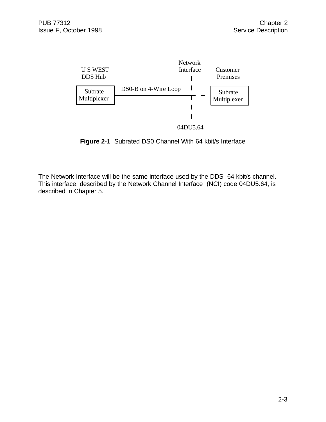

**Figure 2-1** Subrated DS0 Channel With 64 kbit/s Interface

The Network Interface will be the same interface used by the DDS 64 kbit/s channel. This interface, described by the Network Channel Interface (NCI) code 04DU5.64, is described in Chapter 5.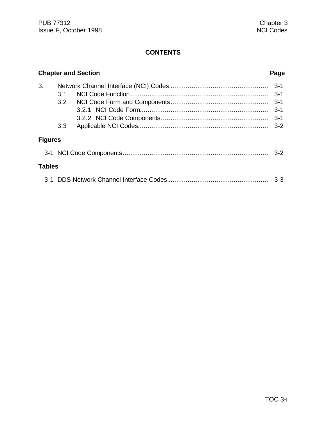#### **CONTENTS**

|                | <b>Chapter and Section</b><br>Page |  |         |
|----------------|------------------------------------|--|---------|
| 3.             |                                    |  | $3 - 1$ |
|                | 3.1                                |  | $3 - 1$ |
|                |                                    |  |         |
|                |                                    |  | $3 - 1$ |
|                |                                    |  |         |
|                | 3.3                                |  |         |
| <b>Figures</b> |                                    |  |         |
|                |                                    |  | $3-2$   |
| <b>Tables</b>  |                                    |  |         |
|                |                                    |  |         |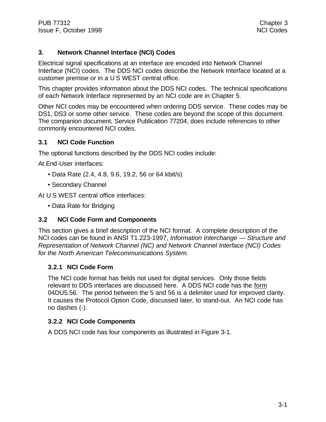#### **3. Network Channel Interface (NCI) Codes**

Electrical signal specifications at an interface are encoded into Network Channel Interface (NCI) codes. The DDS NCI codes describe the Network Interface located at a customer premise or in a U S WEST central office.

This chapter provides information about the DDS NCI codes. The technical specifications of each Network Interface represented by an NCI code are in Chapter 5.

Other NCI codes may be encountered when ordering DDS service. These codes may be DS1, DS3 or some other service. These codes are beyond the scope of this document. The companion document, Service Publication 77204, does include references to other commonly encountered NCI codes.

#### **3.1 NCI Code Function**

The optional functions described by the DDS NCI codes include:

At End-User interfaces:

- Data Rate (2.4, 4.8, 9.6, 19.2, 56 or 64 kbit/s)
- Secondary Channel

At U S WEST central office interfaces:

• Data Rate for Bridging

#### **3.2 NCI Code Form and Components**

This section gives a brief description of the NCI format. A complete description of the NCI codes can be found in ANSI T1.223-1997, *Information Interchange — Structure and Representation of Network Channel (NC) and Network Channel Interface (NCI) Codes for the North American Telecommunications System.*

#### **3.2.1 NCI Code Form**

The NCI code format has fields not used for digital services. Only those fields relevant to DDS interfaces are discussed here. A DDS NCI code has the form 04DU5.56. The period between the 5 and 56 is a delimiter used for improved clarity. It causes the Protocol Option Code, discussed later, to stand-out. An NCI code has no dashes (-).

#### **3.2.2 NCI Code Components**

A DDS NCI code has four components as illustrated in Figure 3-1.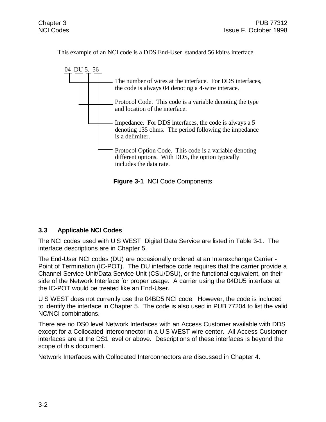This example of an NCI code is a DDS End-User standard 56 kbit/s interface.





#### **3.3 Applicable NCI Codes**

The NCI codes used with U S WEST Digital Data Service are listed in Table 3-1. The interface descriptions are in Chapter 5.

The End-User NCI codes (DU) are occasionally ordered at an Interexchange Carrier - Point of Termination (IC-POT). The DU interface code requires that the carrier provide a Channel Service Unit/Data Service Unit (CSU/DSU), or the functional equivalent, on their side of the Network Interface for proper usage. A carrier using the 04DU5 interface at the IC-POT would be treated like an End-User.

U S WEST does not currently use the 04BD5 NCI code. However, the code is included to identify the interface in Chapter 5. The code is also used in PUB 77204 to list the valid NC/NCI combinations.

There are no DS0 level Network Interfaces with an Access Customer available with DDS except for a Collocated Interconnector in a U S WEST wire center. All Access Customer interfaces are at the DS1 level or above. Descriptions of these interfaces is beyond the scope of this document.

Network Interfaces with Collocated Interconnectors are discussed in Chapter 4.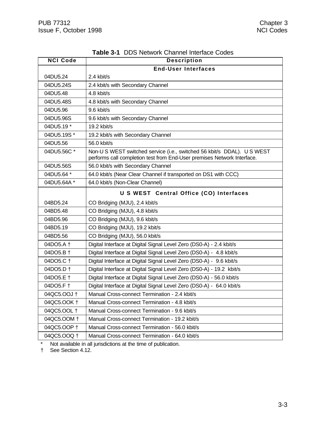| <b>NCI Code</b> | <b>Description</b>                                                                                                                                 |  |  |  |
|-----------------|----------------------------------------------------------------------------------------------------------------------------------------------------|--|--|--|
|                 | <b>End-User Interfaces</b>                                                                                                                         |  |  |  |
| 04DU5.24        | 2.4 kbit/s                                                                                                                                         |  |  |  |
| 04DU5.24S       | 2.4 kbit/s with Secondary Channel                                                                                                                  |  |  |  |
| 04DU5.48        | 4.8 kbit/s                                                                                                                                         |  |  |  |
| 04DU5.48S       | 4.8 kbit/s with Secondary Channel                                                                                                                  |  |  |  |
| 04DU5.96        | 9.6 kbit/s                                                                                                                                         |  |  |  |
| 04DU5.96S       | 9.6 kbit/s with Secondary Channel                                                                                                                  |  |  |  |
| 04DU5.19 *      | 19.2 kbit/s                                                                                                                                        |  |  |  |
| 04DU5.19S*      | 19.2 kbit/s with Secondary Channel                                                                                                                 |  |  |  |
| 04DU5.56        | 56.0 kbit/s                                                                                                                                        |  |  |  |
| 04DU5.56C *     | Non-U S WEST switched service (i.e., switched 56 kbit/s DDAL). U S WEST<br>performs call completion test from End-User premises Network Interface. |  |  |  |
| 04DU5.56S       | 56.0 kbit/s with Secondary Channel                                                                                                                 |  |  |  |
| 04DU5.64 *      | 64.0 kbit/s (Near Clear Channel if transported on DS1 with CCC)                                                                                    |  |  |  |
| 04DU5.64A *     | 64.0 kbit/s (Non-Clear Channel)                                                                                                                    |  |  |  |
|                 | U S WEST Central Office (CO) Interfaces                                                                                                            |  |  |  |
| 04BD5.24        | CO Bridging (MJU), 2.4 kbit/s                                                                                                                      |  |  |  |
| 04BD5.48        | CO Bridging (MJU), 4.8 kbit/s                                                                                                                      |  |  |  |
| 04BD5.96        | CO Bridging (MJU), 9.6 kbit/s                                                                                                                      |  |  |  |
| 04BD5.19        | CO Bridging (MJU), 19.2 kbit/s                                                                                                                     |  |  |  |
| 04BD5.56        | CO Bridging (MJU), 56.0 kbit/s                                                                                                                     |  |  |  |
| 04DO5.A +       | Digital Interface at Digital Signal Level Zero (DS0-A) - 2.4 kbit/s                                                                                |  |  |  |
| 04DO5.B +       | Digital Interface at Digital Signal Level Zero (DS0-A) - 4.8 kbit/s                                                                                |  |  |  |
| 04DO5.C +       | Digital Interface at Digital Signal Level Zero (DS0-A) - 9.6 kbit/s                                                                                |  |  |  |
| 04DO5.D +       | Digital Interface at Digital Signal Level Zero (DS0-A) - 19.2 kbit/s                                                                               |  |  |  |
| 04DO5.E +       | Digital Interface at Digital Signal Level Zero (DS0-A) - 56.0 kbit/s                                                                               |  |  |  |
| 04DO5.F +       | Digital Interface at Digital Signal Level Zero (DS0-A) - 64.0 kbit/s                                                                               |  |  |  |
| 04QC5.OOJ †     | Manual Cross-connect Termination - 2.4 kbit/s                                                                                                      |  |  |  |
| 04QC5.OOK +     | Manual Cross-connect Termination - 4.8 kbit/s                                                                                                      |  |  |  |
| 04QC5.OOL +     | Manual Cross-connect Termination - 9.6 kbit/s                                                                                                      |  |  |  |
| 04QC5.OOM +     | Manual Cross-connect Termination - 19.2 kbit/s                                                                                                     |  |  |  |
| 04QC5.OOP +     | Manual Cross-connect Termination - 56.0 kbit/s                                                                                                     |  |  |  |
| 04QC5.OOQ +     | Manual Cross-connect Termination - 64.0 kbit/s                                                                                                     |  |  |  |

|  | Table 3-1 DDS Network Channel Interface Codes |  |  |  |
|--|-----------------------------------------------|--|--|--|
|--|-----------------------------------------------|--|--|--|

\* Not available in all jurisdictions at the time of publication.

† See Section 4.12.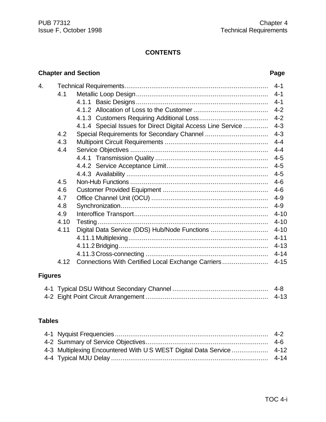#### **CONTENTS**

#### **Chapter and Section Page**

| 4. |      |                                                                  |          |
|----|------|------------------------------------------------------------------|----------|
|    | 4.1  |                                                                  | $4 - 1$  |
|    |      |                                                                  | $4 - 1$  |
|    |      |                                                                  | $4 - 2$  |
|    |      |                                                                  | $4 - 2$  |
|    |      | 4.1.4 Special Issues for Direct Digital Access Line Service  4-3 |          |
|    | 4.2  |                                                                  |          |
|    | 4.3  |                                                                  | $4 - 4$  |
|    | 4.4  |                                                                  | $4 - 4$  |
|    |      |                                                                  | $4 - 5$  |
|    |      |                                                                  |          |
|    |      |                                                                  | $4 - 5$  |
|    | 4.5  |                                                                  | $4 - 6$  |
|    | 4.6  |                                                                  | $4 - 6$  |
|    | 4.7  |                                                                  | $4 - 9$  |
|    | 4.8  |                                                                  | $4 - 9$  |
|    | 4.9  |                                                                  | $4 - 10$ |
|    | 4.10 |                                                                  | $4 - 10$ |
|    | 4.11 | Digital Data Service (DDS) Hub/Node Functions                    | $4 - 10$ |
|    |      |                                                                  | $4 - 11$ |
|    |      |                                                                  | $4 - 13$ |
|    |      |                                                                  | $4 - 14$ |
|    | 4.12 | Connections With Certified Local Exchange Carriers               | $4 - 15$ |
|    |      |                                                                  |          |

#### **Figures**

### **Tables**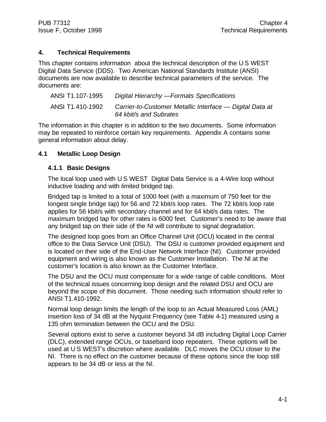#### **4. Technical Requirements**

This chapter contains information about the technical description of the U S WEST Digital Data Service (DDS). Two American National Standards Institute (ANSI) documents are now available to describe technical parameters of the service. The documents are:

| ANSI T1.107-1995 | Digital Hierarchy - Formats Specifications                                         |
|------------------|------------------------------------------------------------------------------------|
| ANSI T1.410-1992 | Carrier-to-Customer Metallic Interface - Digital Data at<br>64 kbit/s and Subrates |

The information in this chapter is in addition to the two documents. Some information may be repeated to reinforce certain key requirements. Appendix A contains some general information about delay.

#### **4.1 Metallic Loop Design**

#### **4.1.1 Basic Designs**

The local loop used with U S WEST Digital Data Service is a 4-Wire loop without inductive loading and with limited bridged tap.

Bridged tap is limited to a total of 1000 feet (with a maximum of 750 feet for the longest single bridge tap) for 56 and 72 kbit/s loop rates. The 72 kbit/s loop rate applies for 56 kbit/s with secondary channel and for 64 kbit/s data rates. The maximum bridged tap for other rates is 6000 feet. Customer's need to be aware that any bridged tap on their side of the NI will contribute to signal degradation.

The designed loop goes from an Office Channel Unit (OCU) located in the central office to the Data Service Unit (DSU). The DSU is customer provided equipment and is located on their side of the End-User Network Interface (NI). Customer provided equipment and wiring is also known as the Customer Installation. The NI at the customer's location is also known as the Customer Interface.

The DSU and the OCU must compensate for a wide range of cable conditions. Most of the technical issues concerning loop design and the related DSU and OCU are beyond the scope of this document. Those needing such information should refer to ANSI T1.410-1992.

Normal loop design limits the length of the loop to an Actual Measured Loss (AML) insertion loss of 34 dB at the Nyquist Frequency (see Table 4-1) measured using a 135 ohm termination between the OCU and the DSU.

Several options exist to serve a customer beyond 34 dB including Digital Loop Carrier (DLC), extended range OCUs, or baseband loop repeaters. These options will be used at U S WEST's discretion where available. DLC moves the OCU closer to the NI. There is no effect on the customer because of these options since the loop still appears to be 34 dB or less at the NI.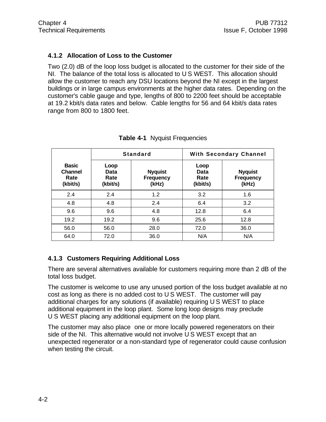#### **4.1.2 Allocation of Loss to the Customer**

Two (2.0) dB of the loop loss budget is allocated to the customer for their side of the NI. The balance of the total loss is allocated to U S WEST. This allocation should allow the customer to reach any DSU locations beyond the NI except in the largest buildings or in large campus environments at the higher data rates. Depending on the customer's cable gauge and type, lengths of 800 to 2200 feet should be acceptable at 19.2 kbit/s data rates and below. Cable lengths for 56 and 64 kbit/s data rates range from 800 to 1800 feet.

|                                                    | <b>Standard</b>                  |                                             | <b>With Secondary Channel</b>    |                                             |
|----------------------------------------------------|----------------------------------|---------------------------------------------|----------------------------------|---------------------------------------------|
| <b>Basic</b><br><b>Channel</b><br>Rate<br>(kbit/s) | Loop<br>Data<br>Rate<br>(kbit/s) | <b>Nyquist</b><br><b>Frequency</b><br>(kHz) | Loop<br>Data<br>Rate<br>(kbit/s) | <b>Nyquist</b><br><b>Frequency</b><br>(kHz) |
| 2.4                                                | 2.4                              | 1.2                                         | 3.2                              | 1.6                                         |
| 4.8                                                | 4.8                              | 2.4                                         | 6.4                              | 3.2                                         |
| 9.6                                                | 9.6                              | 4.8                                         | 12.8                             | 6.4                                         |
| 19.2                                               | 19.2                             | 9.6                                         | 25.6                             | 12.8                                        |
| 56.0                                               | 56.0                             | 28.0                                        | 72.0                             | 36.0                                        |
| 64.0                                               | 72.0                             | 36.0                                        | N/A                              | N/A                                         |

**Table 4-1** Nyquist Frequencies

#### **4.1.3 Customers Requiring Additional Loss**

There are several alternatives available for customers requiring more than 2 dB of the total loss budget.

The customer is welcome to use any unused portion of the loss budget available at no cost as long as there is no added cost to U S WEST. The customer will pay additional charges for any solutions (if available) requiring U S WEST to place additional equipment in the loop plant. Some long loop designs may preclude U S WEST placing any additional equipment on the loop plant.

The customer may also place one or more locally powered regenerators on their side of the NI. This alternative would not involve U S WEST except that an unexpected regenerator or a non-standard type of regenerator could cause confusion when testing the circuit.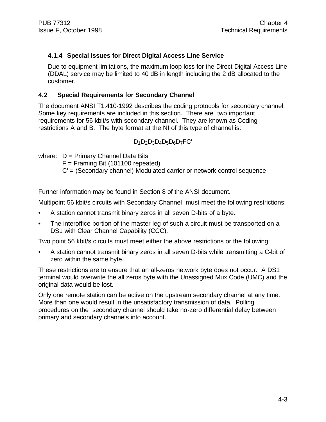#### **4.1.4 Special Issues for Direct Digital Access Line Service**

Due to equipment limitations, the maximum loop loss for the Direct Digital Access Line (DDAL) service may be limited to 40 dB in length including the 2 dB allocated to the customer.

#### **4.2 Special Requirements for Secondary Channel**

The document ANSI T1.410-1992 describes the coding protocols for secondary channel. Some key requirements are included in this section. There are two important requirements for 56 kbit/s with secondary channel. They are known as Coding restrictions A and B. The byte format at the NI of this type of channel is:

#### $D_1D_2D_3D_4D_5D_6D_7FC'$

where:  $D =$  Primary Channel Data Bits

 $F =$  Framing Bit (101100 repeated)

C' = (Secondary channel) Modulated carrier or network control sequence

Further information may be found in Section 8 of the ANSI document.

Multipoint 56 kbit/s circuits with Secondary Channel must meet the following restrictions:

- A station cannot transmit binary zeros in all seven D-bits of a byte.
- The interoffice portion of the master leg of such a circuit must be transported on a DS1 with Clear Channel Capability (CCC).

Two point 56 kbit/s circuits must meet either the above restrictions or the following:

• A station cannot transmit binary zeros in all seven D-bits while transmitting a C-bit of zero within the same byte.

These restrictions are to ensure that an all-zeros network byte does not occur. A DS1 terminal would overwrite the all zeros byte with the Unassigned Mux Code (UMC) and the original data would be lost.

Only one remote station can be active on the upstream secondary channel at any time. More than one would result in the unsatisfactory transmission of data. Polling procedures on the secondary channel should take no-zero differential delay between primary and secondary channels into account.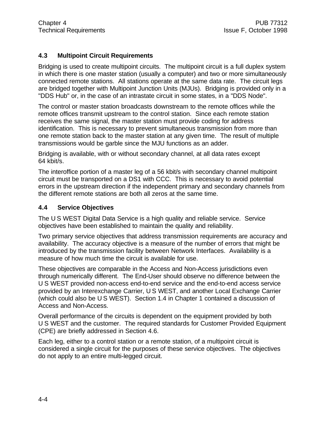#### **4.3 Multipoint Circuit Requirements**

Bridging is used to create multipoint circuits. The multipoint circuit is a full duplex system in which there is one master station (usually a computer) and two or more simultaneously connected remote stations. All stations operate at the same data rate. The circuit legs are bridged together with Multipoint Junction Units (MJUs). Bridging is provided only in a "DDS Hub" or, in the case of an intrastate circuit in some states, in a "DDS Node".

The control or master station broadcasts downstream to the remote offices while the remote offices transmit upstream to the control station. Since each remote station receives the same signal, the master station must provide coding for address identification. This is necessary to prevent simultaneous transmission from more than one remote station back to the master station at any given time. The result of multiple transmissions would be garble since the MJU functions as an adder.

Bridging is available, with or without secondary channel, at all data rates except 64 kbit/s.

The interoffice portion of a master leg of a 56 kbit/s with secondary channel multipoint circuit must be transported on a DS1 with CCC. This is necessary to avoid potential errors in the upstream direction if the independent primary and secondary channels from the different remote stations are both all zeros at the same time.

#### **4.4 Service Objectives**

The U S WEST Digital Data Service is a high quality and reliable service. Service objectives have been established to maintain the quality and reliability.

Two primary service objectives that address transmission requirements are accuracy and availability. The accuracy objective is a measure of the number of errors that might be introduced by the transmission facility between Network Interfaces. Availability is a measure of how much time the circuit is available for use.

These objectives are comparable in the Access and Non-Access jurisdictions even through numerically different. The End-User should observe no difference between the U S WEST provided non-access end-to-end service and the end-to-end access service provided by an Interexchange Carrier, U S WEST, and another Local Exchange Carrier (which could also be U S WEST). Section 1.4 in Chapter 1 contained a discussion of Access and Non-Access.

Overall performance of the circuits is dependent on the equipment provided by both U S WEST and the customer. The required standards for Customer Provided Equipment (CPE) are briefly addressed in Section 4.6.

Each leg, either to a control station or a remote station, of a multipoint circuit is considered a single circuit for the purposes of these service objectives. The objectives do not apply to an entire multi-legged circuit.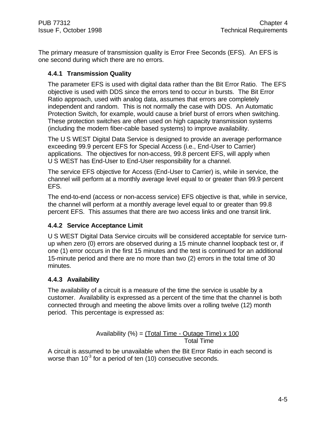The primary measure of transmission quality is Error Free Seconds (EFS). An EFS is one second during which there are no errors.

#### **4.4.1 Transmission Quality**

The parameter EFS is used with digital data rather than the Bit Error Ratio. The EFS objective is used with DDS since the errors tend to occur in bursts. The Bit Error Ratio approach, used with analog data, assumes that errors are completely independent and random. This is not normally the case with DDS. An Automatic Protection Switch, for example, would cause a brief burst of errors when switching. These protection switches are often used on high capacity transmission systems (including the modern fiber-cable based systems) to improve availability.

The U S WEST Digital Data Service is designed to provide an average performance exceeding 99.9 percent EFS for Special Access (i.e., End-User to Carrier) applications. The objectives for non-access, 99.8 percent EFS, will apply when U S WEST has End-User to End-User responsibility for a channel.

The service EFS objective for Access (End-User to Carrier) is, while in service, the channel will perform at a monthly average level equal to or greater than 99.9 percent EFS.

The end-to-end (access or non-access service) EFS objective is that, while in service, the channel will perform at a monthly average level equal to or greater than 99.8 percent EFS. This assumes that there are two access links and one transit link.

#### **4.4.2 Service Acceptance Limit**

U S WEST Digital Data Service circuits will be considered acceptable for service turnup when zero (0) errors are observed during a 15 minute channel loopback test or, if one (1) error occurs in the first 15 minutes and the test is continued for an additional 15-minute period and there are no more than two (2) errors in the total time of 30 minutes.

#### **4.4.3 Availability**

The availability of a circuit is a measure of the time the service is usable by a customer. Availability is expressed as a percent of the time that the channel is both connected through and meeting the above limits over a rolling twelve (12) month period. This percentage is expressed as:

> Availability  $%$  = (Total Time - Outage Time) x 100 Total Time

A circuit is assumed to be unavailable when the Bit Error Ratio in each second is worse than  $10^{-3}$  for a period of ten (10) consecutive seconds.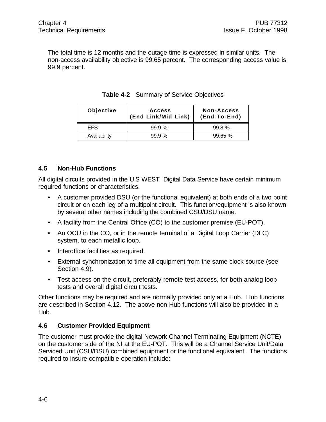The total time is 12 months and the outage time is expressed in similar units. The non-access availability objective is 99.65 percent. The corresponding access value is 99.9 percent.

| Objective    | Access<br>(End Link/Mid Link) | Non-Access<br>(End-To-End) |  |  |
|--------------|-------------------------------|----------------------------|--|--|
| <b>EFS</b>   | 99.9%                         | 99.8%                      |  |  |
| Availability | 999%                          | 99.65%                     |  |  |

| <b>Table 4-2</b> Summary of Service Objectives |  |  |
|------------------------------------------------|--|--|
|                                                |  |  |

#### **4.5 Non-Hub Functions**

All digital circuits provided in the U S WEST Digital Data Service have certain minimum required functions or characteristics.

- A customer provided DSU (or the functional equivalent) at both ends of a two point circuit or on each leg of a multipoint circuit. This function/equipment is also known by several other names including the combined CSU/DSU name.
- A facility from the Central Office (CO) to the customer premise (EU-POT).
- An OCU in the CO, or in the remote terminal of a Digital Loop Carrier (DLC) system, to each metallic loop.
- Interoffice facilities as required.
- External synchronization to time all equipment from the same clock source (see Section 4.9).
- Test access on the circuit, preferably remote test access, for both analog loop tests and overall digital circuit tests.

Other functions may be required and are normally provided only at a Hub. Hub functions are described in Section 4.12. The above non-Hub functions will also be provided in a Hub.

#### **4.6 Customer Provided Equipment**

The customer must provide the digital Network Channel Terminating Equipment (NCTE) on the customer side of the NI at the EU-POT. This will be a Channel Service Unit/Data Serviced Unit (CSU/DSU) combined equipment or the functional equivalent. The functions required to insure compatible operation include: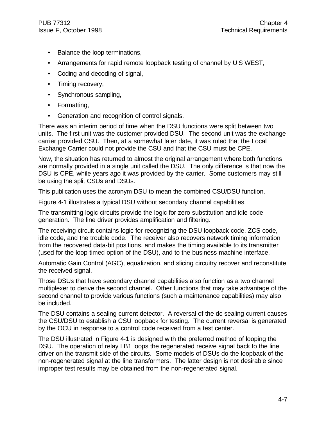- Balance the loop terminations,
- Arrangements for rapid remote loopback testing of channel by U S WEST,
- Coding and decoding of signal,
- Timing recovery,
- Synchronous sampling,
- Formatting,
- Generation and recognition of control signals.

There was an interim period of time when the DSU functions were split between two units. The first unit was the customer provided DSU. The second unit was the exchange carrier provided CSU. Then, at a somewhat later date, it was ruled that the Local Exchange Carrier could not provide the CSU and that the CSU must be CPE.

Now, the situation has returned to almost the original arrangement where both functions are normally provided in a single unit called the DSU. The only difference is that now the DSU is CPE, while years ago it was provided by the carrier. Some customers may still be using the split CSUs and DSUs.

This publication uses the acronym DSU to mean the combined CSU/DSU function.

Figure 4-1 illustrates a typical DSU without secondary channel capabilities.

The transmitting logic circuits provide the logic for zero substitution and idle-code generation. The line driver provides amplification and filtering.

The receiving circuit contains logic for recognizing the DSU loopback code, ZCS code, idle code, and the trouble code. The receiver also recovers network timing information from the recovered data-bit positions, and makes the timing available to its transmitter (used for the loop-timed option of the DSU), and to the business machine interface.

Automatic Gain Control (AGC), equalization, and slicing circuitry recover and reconstitute the received signal.

Those DSUs that have secondary channel capabilities also function as a two channel multiplexer to derive the second channel. Other functions that may take advantage of the second channel to provide various functions (such a maintenance capabilities) may also be included.

The DSU contains a sealing current detector. A reversal of the dc sealing current causes the CSU/DSU to establish a CSU loopback for testing. The current reversal is generated by the OCU in response to a control code received from a test center.

The DSU illustrated in Figure 4-1 is designed with the preferred method of looping the DSU. The operation of relay LB1 loops the regenerated receive signal back to the line driver on the transmit side of the circuits. Some models of DSUs do the loopback of the non-regenerated signal at the line transformers. The latter design is not desirable since improper test results may be obtained from the non-regenerated signal.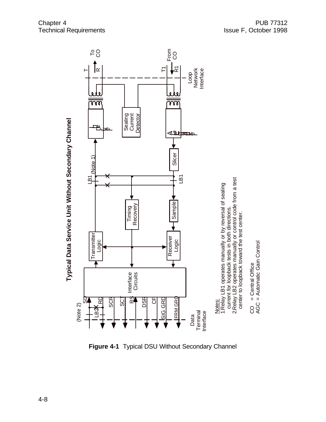

**Figure 4-1** Typical DSU Without Secondary Channel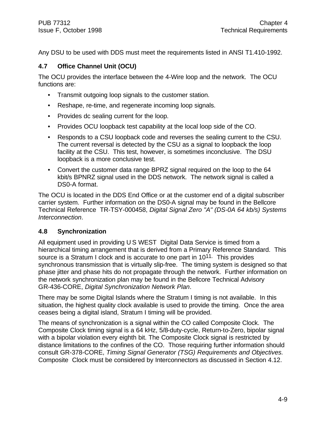Any DSU to be used with DDS must meet the requirements listed in ANSI T1.410-1992.

#### **4.7 Office Channel Unit (OCU)**

The OCU provides the interface between the 4-Wire loop and the network. The OCU functions are:

- Transmit outgoing loop signals to the customer station.
- Reshape, re-time, and regenerate incoming loop signals.
- Provides dc sealing current for the loop.
- Provides OCU loopback test capability at the local loop side of the CO.
- Responds to a CSU loopback code and reverses the sealing current to the CSU. The current reversal is detected by the CSU as a signal to loopback the loop facility at the CSU. This test, however, is sometimes inconclusive. The DSU loopback is a more conclusive test.
- Convert the customer data range BPRZ signal required on the loop to the 64 kbit/s BPNRZ signal used in the DDS network. The network signal is called a DS0-A format.

The OCU is located in the DDS End Office or at the customer end of a digital subscriber carrier system. Further information on the DS0-A signal may be found in the Bellcore Technical Reference TR-TSY-000458, *Digital Signal Zero "A" (DS-0A 64 kb/s) Systems Interconnection*.

#### **4.8 Synchronization**

All equipment used in providing U S WEST Digital Data Service is timed from a hierarchical timing arrangement that is derived from a Primary Reference Standard. This source is a Stratum I clock and is accurate to one part in 10<sup>11.</sup> This provides synchronous transmission that is virtually slip-free. The timing system is designed so that phase jitter and phase hits do not propagate through the network. Further information on the network synchronization plan may be found in the Bellcore Technical Advisory GR-436-CORE, *Digital Synchronization Network Plan*.

There may be some Digital Islands where the Stratum I timing is not available. In this situation, the highest quality clock available is used to provide the timing. Once the area ceases being a digital island, Stratum I timing will be provided.

The means of synchronization is a signal within the CO called Composite Clock. The Composite Clock timing signal is a 64 kHz, 5/8-duty-cycle, Return-to-Zero, bipolar signal with a bipolar violation every eighth bit. The Composite Clock signal is restricted by distance limitations to the confines of the CO. Those requiring further information should consult GR-378-CORE, *Timing Signal Generator (TSG) Requirements and Objectives.* Composite Clock must be considered by Interconnectors as discussed in Section 4.12.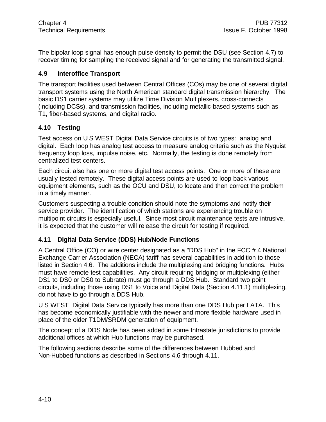The bipolar loop signal has enough pulse density to permit the DSU (see Section 4.7) to recover timing for sampling the received signal and for generating the transmitted signal.

#### **4.9 Interoffice Transport**

The transport facilities used between Central Offices (COs) may be one of several digital transport systems using the North American standard digital transmission hierarchy. The basic DS1 carrier systems may utilize Time Division Multiplexers, cross-connects (including DCSs), and transmission facilities, including metallic-based systems such as T1, fiber-based systems, and digital radio.

#### **4.10 Testing**

Test access on U S WEST Digital Data Service circuits is of two types: analog and digital. Each loop has analog test access to measure analog criteria such as the Nyquist frequency loop loss, impulse noise, etc. Normally, the testing is done remotely from centralized test centers.

Each circuit also has one or more digital test access points. One or more of these are usually tested remotely. These digital access points are used to loop back various equipment elements, such as the OCU and DSU, to locate and then correct the problem in a timely manner.

Customers suspecting a trouble condition should note the symptoms and notify their service provider. The identification of which stations are experiencing trouble on multipoint circuits is especially useful. Since most circuit maintenance tests are intrusive, it is expected that the customer will release the circuit for testing if required.

#### **4.11 Digital Data Service (DDS) Hub/Node Functions**

A Central Office (CO) or wire center designated as a "DDS Hub" in the FCC # 4 National Exchange Carrier Association (NECA) tariff has several capabilities in addition to those listed in Section 4.6. The additions include the multiplexing and bridging functions. Hubs must have remote test capabilities. Any circuit requiring bridging or multiplexing (either DS1 to DS0 or DS0 to Subrate) must go through a DDS Hub. Standard two point circuits, including those using DS1 to Voice and Digital Data (Section 4.11.1) multiplexing, do not have to go through a DDS Hub.

U S WEST Digital Data Service typically has more than one DDS Hub per LATA. This has become economically justifiable with the newer and more flexible hardware used in place of the older T1DM/SRDM generation of equipment.

The concept of a DDS Node has been added in some Intrastate jurisdictions to provide additional offices at which Hub functions may be purchased.

The following sections describe some of the differences between Hubbed and Non-Hubbed functions as described in Sections 4.6 through 4.11.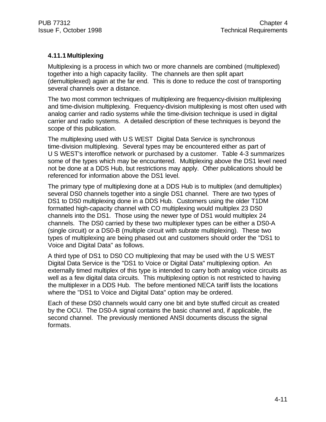#### **4.11.1 Multiplexing**

Multiplexing is a process in which two or more channels are combined (multiplexed) together into a high capacity facility. The channels are then split apart (demultiplexed) again at the far end. This is done to reduce the cost of transporting several channels over a distance.

The two most common techniques of multiplexing are frequency-division multiplexing and time-division multiplexing. Frequency-division multiplexing is most often used with analog carrier and radio systems while the time-division technique is used in digital carrier and radio systems. A detailed description of these techniques is beyond the scope of this publication.

The multiplexing used with U S WEST Digital Data Service is synchronous time-division multiplexing. Several types may be encountered either as part of U S WEST's interoffice network or purchased by a customer. Table 4-3 summarizes some of the types which may be encountered. Multiplexing above the DS1 level need not be done at a DDS Hub, but restrictions may apply. Other publications should be referenced for information above the DS1 level.

The primary type of multiplexing done at a DDS Hub is to multiplex (and demultiplex) several DS0 channels together into a single DS1 channel. There are two types of DS1 to DS0 multiplexing done in a DDS Hub. Customers using the older T1DM formatted high-capacity channel with CO multiplexing would multiplex 23 DS0 channels into the DS1. Those using the newer type of DS1 would multiplex 24 channels. The DS0 carried by these two multiplexer types can be either a DS0-A (single circuit) or a DS0-B (multiple circuit with subrate multiplexing). These two types of multiplexing are being phased out and customers should order the "DS1 to Voice and Digital Data" as follows.

A third type of DS1 to DS0 CO multiplexing that may be used with the U S WEST Digital Data Service is the "DS1 to Voice or Digital Data" multiplexing option. An externally timed multiplex of this type is intended to carry both analog voice circuits as well as a few digital data circuits. This multiplexing option is not restricted to having the multiplexer in a DDS Hub. The before mentioned NECA tariff lists the locations where the "DS1 to Voice and Digital Data" option may be ordered.

Each of these DS0 channels would carry one bit and byte stuffed circuit as created by the OCU. The DS0-A signal contains the basic channel and, if applicable, the second channel. The previously mentioned ANSI documents discuss the signal formats.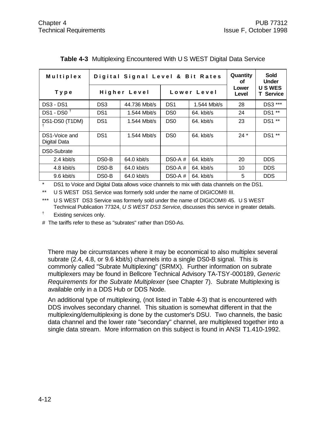| Multiplex                     |                    | Digital Signal Level & Bit Rates | Quantity<br>οf  | <b>Sold</b><br><b>Under</b> |                |                                   |
|-------------------------------|--------------------|----------------------------------|-----------------|-----------------------------|----------------|-----------------------------------|
| Type                          |                    | <b>Higher Level</b>              | Lower Level     |                             | Lower<br>Level | <b>US WES</b><br><b>T</b> Service |
| <b>DS3 - DS1</b>              | DS <sub>3</sub>    | 44.736 Mbit/s                    | DS <sub>1</sub> | 1.544 Mbit/s                | 28             | DS3 ***                           |
| DS1 - DS0 $†$                 | DS <sub>1</sub>    | 1.544 Mbit/s                     | D <sub>S0</sub> | 64. kbit/s                  | 24             | DS1 **                            |
| DS1-DS0 (T1DM)                | DS <sub>1</sub>    | 1.544 Mbit/s                     | D <sub>S0</sub> | 64. kbit/s                  | 23             | DS1 **                            |
| DS1-Voice and<br>Digital Data | DS <sub>1</sub>    | 1.544 Mbit/s                     | D <sub>S0</sub> | 64. kbit/s                  | $24*$          | DS1 **                            |
| DS0-Subrate                   |                    |                                  |                 |                             |                |                                   |
| $2.4$ kbit/s                  | DS <sub>0</sub> -B | $64.0$ kbit/s                    | $DS0-A#$        | 64. kbit/s                  | 20             | <b>DDS</b>                        |
| 4.8 kbit/s                    | DS <sub>0</sub> -B | $64.0$ kbit/s                    | $DS0-A#$        | 64. kbit/s                  | 10             | <b>DDS</b>                        |
| 9.6 kbit/s                    | DS <sub>0</sub> -B | $64.0$ kbit/s                    | $DS0-A#$        | 64. kbit/s                  | 5              | <b>DDS</b>                        |

\* DS1 to Voice and Digital Data allows voice channels to mix with data channels on the DS1.

U S WEST DS1 Service was formerly sold under the name of DIGICOM® III.

\*\*\* U S WEST DS3 Service was formerly sold under the name of DIGICOM® 45. U S WEST Technical Publication 77324, *U S WEST DS3 Service*, discusses this service in greater details.

† Existing services only.

# The tariffs refer to these as "subrates" rather than DS0-As.

There may be circumstances where it may be economical to also multiplex several subrate (2.4, 4.8, or 9.6 kbit/s) channels into a single DS0-B signal. This is commonly called "Subrate Multiplexing" (SRMX). Further information on subrate multiplexers may be found in Bellcore Technical Advisory TA-TSY-000189, *Generic Requirements for the Subrate Multiplexer* (see Chapter 7). Subrate Multiplexing is available only in a DDS Hub or DDS Node.

An additional type of multiplexing, (not listed in Table 4-3) that is encountered with DDS involves secondary channel. This situation is somewhat different in that the multiplexing/demultiplexing is done by the customer's DSU. Two channels, the basic data channel and the lower rate "secondary" channel, are multiplexed together into a single data stream. More information on this subject is found in ANSI T1.410-1992.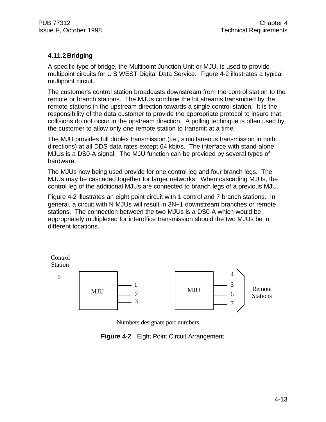# **4.11.2 Bridging**

A specific type of bridge, the Multipoint Junction Unit or MJU, is used to provide multipoint circuits for U S WEST Digital Data Service. Figure 4-2 illustrates a typical multipoint circuit.

The customer's control station broadcasts downstream from the control station to the remote or branch stations. The MJUs combine the bit streams transmitted by the remote stations in the upstream direction towards a single control station. It is the responsibility of the data customer to provide the appropriate protocol to insure that collisions do not occur in the upstream direction. A polling technique is often used by the customer to allow only one remote station to transmit at a time.

The MJU provides full duplex transmission (i.e., simultaneous transmission in both directions) at all DDS data rates except 64 kbit/s. The interface with stand-alone MJUs is a DS0-A signal. The MJU function can be provided by several types of hardware.

The MJUs now being used provide for one control leg and four branch legs. The MJUs may be cascaded together for larger networks. When cascading MJUs, the control leg of the additional MJUs are connected to branch legs of a previous MJU.

Figure 4-2 illustrates an eight point circuit with 1 control and 7 branch stations. In general, a circuit with N MJUs will result in 3N+1 downstream branches or remote stations. The connection between the two MJUs is a DS0-A which would be appropriately multiplexed for interoffice transmission should the two MJUs be in different locations.



Numbers designate port numbers.

**Figure 4-2** Eight Point Circuit Arrangement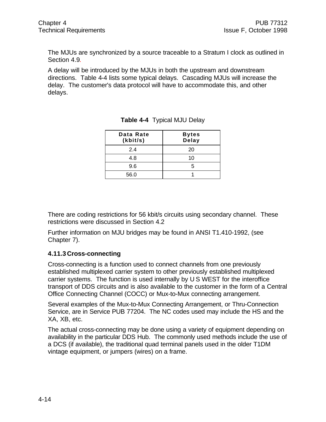The MJUs are synchronized by a source traceable to a Stratum I clock as outlined in Section 4.9.

A delay will be introduced by the MJUs in both the upstream and downstream directions. Table 4-4 lists some typical delays. Cascading MJUs will increase the delay. The customer's data protocol will have to accommodate this, and other delays.

| Data Rate<br>(kbit/s) | <b>Bytes</b><br>Delay |
|-----------------------|-----------------------|
| 2.4                   | 20                    |
| 4.8                   | 10                    |
| 9.6                   | 5                     |
| 56.0                  |                       |

| Table 4-4 Typical MJU Delay |
|-----------------------------|
|-----------------------------|

There are coding restrictions for 56 kbit/s circuits using secondary channel. These restrictions were discussed in Section 4.2

Further information on MJU bridges may be found in ANSI T1.410-1992, (see Chapter 7).

# **4.11.3 Cross-connecting**

Cross-connecting is a function used to connect channels from one previously established multiplexed carrier system to other previously established multiplexed carrier systems. The function is used internally by U S WEST for the interoffice transport of DDS circuits and is also available to the customer in the form of a Central Office Connecting Channel (COCC) or Mux-to-Mux connecting arrangement.

Several examples of the Mux-to-Mux Connecting Arrangement, or Thru-Connection Service, are in Service PUB 77204. The NC codes used may include the HS and the XA, XB, etc.

The actual cross-connecting may be done using a variety of equipment depending on availability in the particular DDS Hub. The commonly used methods include the use of a DCS (if available), the traditional quad terminal panels used in the older T1DM vintage equipment, or jumpers (wires) on a frame.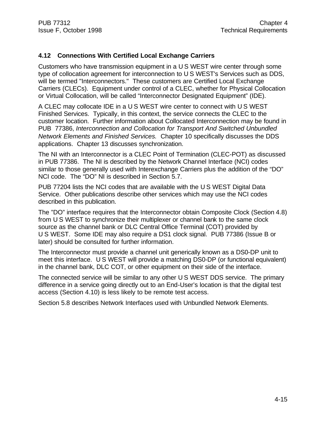# **4.12 Connections With Certified Local Exchange Carriers**

Customers who have transmission equipment in a U S WEST wire center through some type of collocation agreement for interconnection to U S WEST's Services such as DDS, will be termed "Interconnectors." These customers are Certified Local Exchange Carriers (CLECs). Equipment under control of a CLEC, whether for Physical Collocation or Virtual Collocation, will be called "Interconnector Designated Equipment" (IDE).

A CLEC may collocate IDE in a U S WEST wire center to connect with U S WEST Finished Services. Typically, in this context, the service connects the CLEC to the customer location. Further information about Collocated Interconnection may be found in PUB 77386, *Interconnection and Collocation for Transport And Switched Unbundled Network Elements and Finished Services.* Chapter 10 specifically discusses the DDS applications. Chapter 13 discusses synchronization.

The NI with an Interconnector is a CLEC Point of Termination (CLEC-POT) as discussed in PUB 77386. The NI is described by the Network Channel Interface (NCI) codes similar to those generally used with Interexchange Carriers plus the addition of the "DO" NCI code. The "DO" NI is described in Section 5.7.

PUB 77204 lists the NCI codes that are available with the U S WEST Digital Data Service. Other publications describe other services which may use the NCI codes described in this publication.

The "DO" interface requires that the Interconnector obtain Composite Clock (Section 4.8) from U S WEST to synchronize their multiplexer or channel bank to the same clock source as the channel bank or DLC Central Office Terminal (COT) provided by U S WEST. Some IDE may also require a DS1 clock signal. PUB 77386 (Issue B or later) should be consulted for further information.

The Interconnector must provide a channel unit generically known as a DS0-DP unit to meet this interface. U S WEST will provide a matching DS0-DP (or functional equivalent) in the channel bank, DLC COT, or other equipment on their side of the interface.

The connected service will be similar to any other U S WEST DDS service. The primary difference in a service going directly out to an End-User's location is that the digital test access (Section 4.10) is less likely to be remote test access.

Section 5.8 describes Network Interfaces used with Unbundled Network Elements.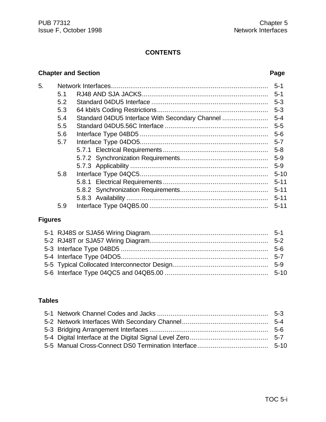# **CONTENTS**

# **Chapter and Section Page**

| 5. |     | $5 - 1$  |
|----|-----|----------|
|    | 5.1 |          |
|    | 5.2 |          |
|    | 5.3 |          |
|    | 5.4 |          |
|    | 5.5 |          |
|    | 5.6 |          |
|    | 5.7 |          |
|    |     |          |
|    |     |          |
|    |     | $5-9$    |
|    | 5.8 | $5 - 10$ |
|    |     | $5 - 11$ |
|    |     |          |
|    |     |          |
|    | 5.9 |          |
|    |     |          |

# **Figures**

# **Tables**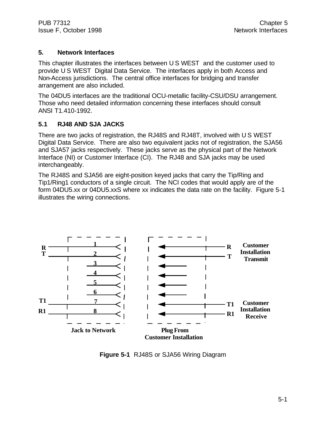# **5. Network Interfaces**

This chapter illustrates the interfaces between U S WEST and the customer used to provide U S WEST Digital Data Service. The interfaces apply in both Access and Non-Access jurisdictions. The central office interfaces for bridging and transfer arrangement are also included.

The 04DU5 interfaces are the traditional OCU-metallic facility-CSU/DSU arrangement. Those who need detailed information concerning these interfaces should consult ANSI T1.410-1992.

## **5.1 RJ48 AND SJA JACKS**

There are two jacks of registration, the RJ48S and RJ48T, involved with U S WEST Digital Data Service. There are also two equivalent jacks not of registration, the SJA56 and SJA57 jacks respectively. These jacks serve as the physical part of the Network Interface (NI) or Customer Interface (CI). The RJ48 and SJA jacks may be used interchangeably.

The RJ48S and SJA56 are eight-position keyed jacks that carry the Tip/Ring and Tip1/Ring1 conductors of a single circuit. The NCI codes that would apply are of the form 04DU5.xx or 04DU5.xxS where xx indicates the data rate on the facility. Figure 5-1 illustrates the wiring connections.



**Figure 5-1** RJ48S or SJA56 Wiring Diagram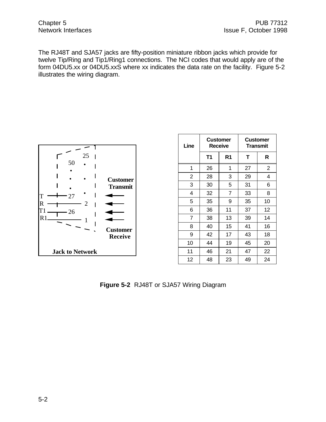The RJ48T and SJA57 jacks are fifty-position miniature ribbon jacks which provide for twelve Tip/Ring and Tip1/Ring1 connections. The NCI codes that would apply are of the form 04DU5.xx or 04DU5.xxS where xx indicates the data rate on the facility. Figure 5-2 illustrates the wiring diagram.



| Line | Customer<br><b>Receive</b> |                | Customer | <b>Transmit</b> |
|------|----------------------------|----------------|----------|-----------------|
|      | T1                         | R <sub>1</sub> | т        | R               |
| 1    | 26                         | 1              | 27       | 2               |
| 2    | 28                         | 3              | 29       | 4               |
| 3    | 30                         | 5              | 31       | 6               |
| 4    | 32                         | 7              | 33       | 8               |
| 5    | 35                         | 9              | 35       | 10              |
| 6    | 36                         | 11             | 37       | 12              |
| 7    | 38                         | 13             | 39       | 14              |
| 8    | 40                         | 15             | 41       | 16              |
| 9    | 42                         | 17             | 43       | 18              |
| 10   | 44                         | 19             | 45       | 20              |
| 11   | 46                         | 21             | 47       | 22              |
| 12   | 48                         | 23             | 49       | 24              |

**Figure 5-2** RJ48T or SJA57 Wiring Diagram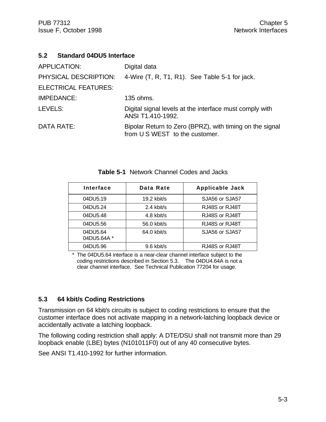## **5.2 Standard 04DU5 Interface**

| APPLICATION:                | Digital data                                                                               |
|-----------------------------|--------------------------------------------------------------------------------------------|
| PHYSICAL DESCRIPTION:       | 4-Wire (T, R, T1, R1). See Table 5-1 for jack.                                             |
| <b>ELECTRICAL FEATURES:</b> |                                                                                            |
| <b>IMPEDANCE:</b>           | 135 ohms.                                                                                  |
| LEVELS:                     | Digital signal levels at the interface must comply with<br>ANSI T1.410-1992.               |
| DATA RATE:                  | Bipolar Return to Zero (BPRZ), with timing on the signal<br>from U S WEST to the customer. |

| Interface               | Data Rate     | Applicable Jack |
|-------------------------|---------------|-----------------|
| 04DU5.19                | 19.2 kbit/s   | SJA56 or SJA57  |
| 04DU5.24                | $2.4$ kbit/s  | RJ48S or RJ48T  |
| 04DU5.48                | 4.8 kbit/s    | RJ48S or RJ48T  |
| 04DU5.56                | 56.0 kbit/s   | RJ48S or RJ48T  |
| 04DU5.64<br>04DU5.64A * | $64.0$ kbit/s | SJA56 or SJA57  |
| 04DU5.96                | 9.6 kbit/s    | RJ48S or RJ48T  |

**Table 5-1** Network Channel Codes and Jacks

\* The 04DU5.64 interface is a near-clear channel interface subject to the coding restrictions described in Section 5.3. The 04DU4.64A is not a clear channel interface. See Technical Publication 77204 for usage.

# **5.3 64 kbit/s Coding Restrictions**

Transmission on 64 kbit/s circuits is subject to coding restrictions to ensure that the customer interface does not activate mapping in a network-latching loopback device or accidentally activate a latching loopback.

The following coding restriction shall apply: A DTE/DSU shall not transmit more than 29 loopback enable (LBE) bytes (N101011F0) out of any 40 consecutive bytes.

See ANSI T1.410-1992 for further information.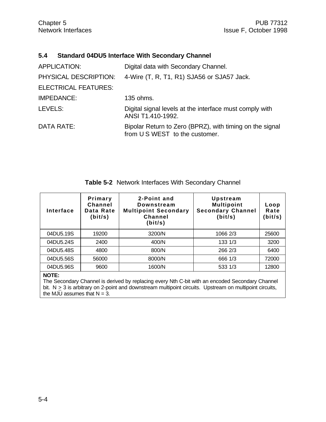# **5.4 Standard 04DU5 Interface With Secondary Channel**

| APPLICATION:          | Digital data with Secondary Channel.                                                       |
|-----------------------|--------------------------------------------------------------------------------------------|
| PHYSICAL DESCRIPTION: | 4-Wire (T, R, T1, R1) SJA56 or SJA57 Jack.                                                 |
| ELECTRICAL FEATURES:  |                                                                                            |
| <b>IMPEDANCE:</b>     | 135 ohms.                                                                                  |
| LEVELS:               | Digital signal levels at the interface must comply with<br>ANSI T1.410-1992.               |
| DATA RATE:            | Bipolar Return to Zero (BPRZ), with timing on the signal<br>from U S WEST to the customer. |

|  | Table 5-2 Network Interfaces With Secondary Channel |  |  |  |  |  |
|--|-----------------------------------------------------|--|--|--|--|--|
|--|-----------------------------------------------------|--|--|--|--|--|

| Interface | Primary<br>Channel<br>Data Rate<br>(bit/s) | 2-Point and<br>Downstream<br><b>Multipoint Secondary</b><br><b>Channel</b><br>(bit/s) | Upstream<br><b>Multipoint</b><br><b>Secondary Channel</b><br>(bit/s) | Loop<br>Rate<br>(bit/s) |
|-----------|--------------------------------------------|---------------------------------------------------------------------------------------|----------------------------------------------------------------------|-------------------------|
| 04DU5.19S | 19200                                      | 3200/N                                                                                | 1066 2/3                                                             | 25600                   |
| 04DU5.24S | 2400                                       | 400/N                                                                                 | $133 \frac{1}{3}$                                                    | 3200                    |
| 04DU5.48S | 4800                                       | 800/N                                                                                 | 266 2/3                                                              | 6400                    |
| 04DU5.56S | 56000                                      | 8000/N                                                                                | 666 1/3                                                              | 72000                   |
| 04DU5.96S | 9600                                       | 1600/N                                                                                | 533 1/3                                                              | 12800                   |

#### **NOTE:**

The Secondary Channel is derived by replacing every Nth C-bit with an encoded Secondary Channel bit.  $N \geq 3$  is arbitrary on 2-point and downstream multipoint circuits. Upstream on multipoint circuits, the MJU assumes that  $N = 3$ .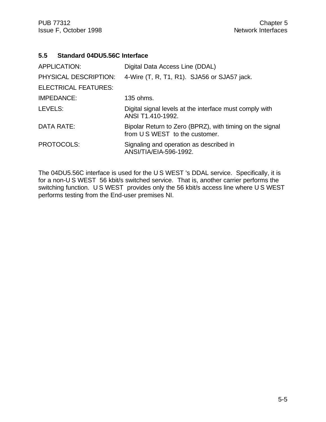## **5.5 Standard 04DU5.56C Interface**

| <b>APPLICATION:</b>         | Digital Data Access Line (DDAL)                                                            |
|-----------------------------|--------------------------------------------------------------------------------------------|
| PHYSICAL DESCRIPTION:       | 4-Wire (T, R, T1, R1). SJA56 or SJA57 jack.                                                |
| <b>ELECTRICAL FEATURES:</b> |                                                                                            |
| IMPEDANCE:                  | $135$ ohms.                                                                                |
| LEVELS:                     | Digital signal levels at the interface must comply with<br>ANSI T1.410-1992.               |
| DATA RATE:                  | Bipolar Return to Zero (BPRZ), with timing on the signal<br>from U S WEST to the customer. |
| PROTOCOLS:                  | Signaling and operation as described in<br>ANSI/TIA/EIA-596-1992.                          |

The 04DU5.56C interface is used for the U S WEST 's DDAL service. Specifically, it is for a non-U S WEST 56 kbit/s switched service. That is, another carrier performs the switching function. U S WEST provides only the 56 kbit/s access line where U S WEST performs testing from the End-user premises NI.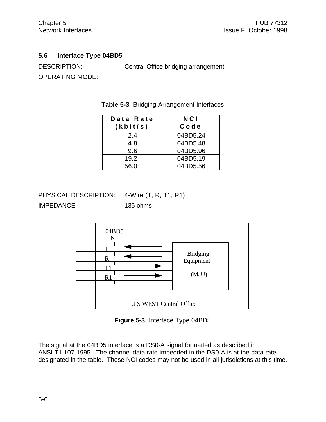# **5.6 Interface Type 04BD5**

DESCRIPTION: Central Office bridging arrangement OPERATING MODE:

| Data Rate | <b>NCI</b> |
|-----------|------------|
| (kbit/s)  | $C$ o d e  |
| 2.4       | 04BD5.24   |
| 4.8       | 04BD5.48   |
| 9.6       | 04BD5.96   |
| 19.2      | 04BD5.19   |
| 56.0      | 04BD5.56   |

**Table 5-3** Bridging Arrangement Interfaces

PHYSICAL DESCRIPTION: 4-Wire (T, R, T1, R1) IMPEDANCE: 135 ohms



**Figure 5-3** Interface Type 04BD5

The signal at the 04BD5 interface is a DS0-A signal formatted as described in ANSI T1.107-1995. The channel data rate imbedded in the DS0-A is at the data rate designated in the table. These NCI codes may not be used in all jurisdictions at this time.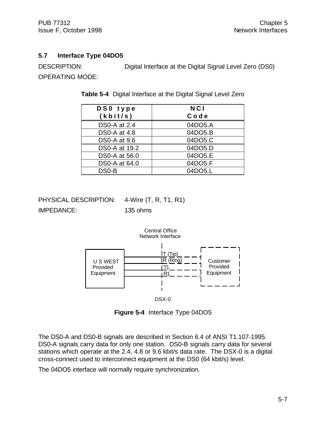# **5.7 Interface Type 04DO5**

DESCRIPTION: Digital Interface at the Digital Signal Level Zero (DS0) OPERATING MODE:

| DS0 type            | <b>NCI</b> |
|---------------------|------------|
| (kbit/s)            | Code       |
| DS0-A at 2.4        | 04DO5.A    |
| DS0-A at 4.8        | 04DO5.B    |
| <b>DS0-A at 9.6</b> | 04DO5.C    |
| DS0-A at 19.2       | 04DO5.D    |
| DS0-A at 56.0       | 04DO5.E    |
| DS0-A at 64.0       | 04DO5.F    |
| DS <sub>0</sub> -B  | 04DO5.L    |

**Table 5-4** Digital Interface at the Digital Signal Level Zero

PHYSICAL DESCRIPTION: 4-Wire (T, R, T1, R1) IMPEDANCE: 135 ohms



**Figure 5-4** Interface Type 04DO5

The DS0-A and DS0-B signals are described in Section 6.4 of ANSI T1.107-1995. DS0-A signals carry data for only one station. DS0-B signals carry data for several stations which operate at the 2.4, 4.8 or 9.6 kbit/s data rate. The DSX-0 is a digital cross-connect used to interconnect equipment at the DS0 (64 kbit/s) level.

The 04DO5 interface will normally require synchronization.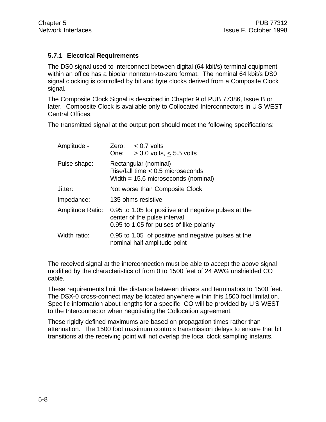## **5.7.1 Electrical Requirements**

The DS0 signal used to interconnect between digital (64 kbit/s) terminal equipment within an office has a bipolar nonreturn-to-zero format. The nominal 64 kbit/s DS0 signal clocking is controlled by bit and byte clocks derived from a Composite Clock signal.

The Composite Clock Signal is described in Chapter 9 of PUB 77386, Issue B or later*.* Composite Clock is available only to Collocated Interconnectors in U S WEST Central Offices.

The transmitted signal at the output port should meet the following specifications:

| Amplitude -      | One: | Zero: $< 0.7$ volts<br>$>$ 3.0 volts, $\leq$ 5.5 volts                                                                           |
|------------------|------|----------------------------------------------------------------------------------------------------------------------------------|
| Pulse shape:     |      | Rectangular (nominal)<br>Rise/fall time $< 0.5$ microseconds<br>Width = $15.6$ microseconds (nominal)                            |
| Jitter:          |      | Not worse than Composite Clock                                                                                                   |
| Impedance:       |      | 135 ohms resistive                                                                                                               |
| Amplitude Ratio: |      | 0.95 to 1.05 for positive and negative pulses at the<br>center of the pulse interval<br>0.95 to 1.05 for pulses of like polarity |
| Width ratio:     |      | 0.95 to 1.05 of positive and negative pulses at the<br>nominal half amplitude point                                              |

The received signal at the interconnection must be able to accept the above signal modified by the characteristics of from 0 to 1500 feet of 24 AWG unshielded CO cable.

These requirements limit the distance between drivers and terminators to 1500 feet. The DSX-0 cross-connect may be located anywhere within this 1500 foot limitation. Specific information about lengths for a specific CO will be provided by U S WEST to the Interconnector when negotiating the Collocation agreement.

These rigidly defined maximums are based on propagation times rather than attenuation. The 1500 foot maximum controls transmission delays to ensure that bit transitions at the receiving point will not overlap the local clock sampling instants.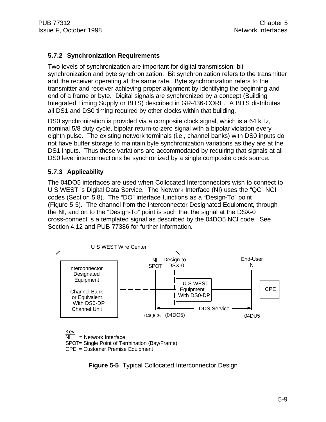## **5.7.2 Synchronization Requirements**

Two levels of synchronization are important for digital transmission: bit synchronization and byte synchronization. Bit synchronization refers to the transmitter and the receiver operating at the same rate. Byte synchronization refers to the transmitter and receiver achieving proper alignment by identifying the beginning and end of a frame or byte. Digital signals are synchronized by a concept (Building Integrated Timing Supply or BITS) described in GR-436-CORE. A BITS distributes all DS1 and DS0 timing required by other clocks within that building.

DS0 synchronization is provided via a composite clock signal, which is a 64 kHz, nominal 5/8 duty cycle, bipolar return-to-zero signal with a bipolar violation every eighth pulse. The existing network terminals (i.e., channel banks) with DS0 inputs do not have buffer storage to maintain byte synchronization variations as they are at the DS1 inputs. Thus these variations are accommodated by requiring that signals at all DS0 level interconnections be synchronized by a single composite clock source.

#### **5.7.3 Applicability**

The 04DO5 interfaces are used when Collocated Interconnectors wish to connect to U S WEST 's Digital Data Service. The Network Interface (NI) uses the "QC" NCI codes (Section 5.8). The "DO" interface functions as a "Design-To" point (Figure 5-5). The channel from the Interconnector Designated Equipment, through the NI, and on to the "Design-To" point is such that the signal at the DSX-0 cross-connect is a templated signal as described by the 04DO5 NCI code. See Section 4.12 and PUB 77386 for further information.



CPE = Customer Premise Equipment

**Figure 5-5** Typical Collocated Interconnector Design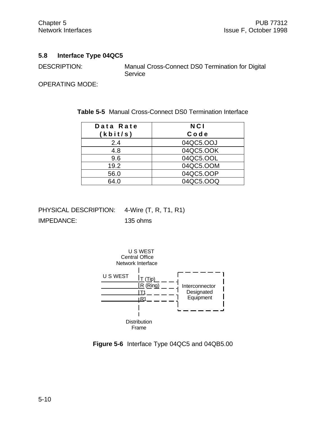# **5.8 Interface Type 04QC5**

DESCRIPTION: Manual Cross-Connect DS0 Termination for Digital Service

OPERATING MODE:

| <b>Table 5-5</b> Manual Cross-Connect DS0 Termination Interface |
|-----------------------------------------------------------------|
|-----------------------------------------------------------------|

| Data Rate | <b>NCI</b> |
|-----------|------------|
| (kbit/s)  | Code       |
| 2.4       | 04QC5.OOJ  |
| 4.8       | 04QC5.OOK  |
| 9.6       | 04QC5.OOL  |
| 19.2      | 04QC5.OOM  |
| 56.0      | 04QC5.OOP  |
| 64.0      | 04QC5.OOQ  |

PHYSICAL DESCRIPTION: 4-Wire (T, R, T1, R1) IMPEDANCE: 135 ohms



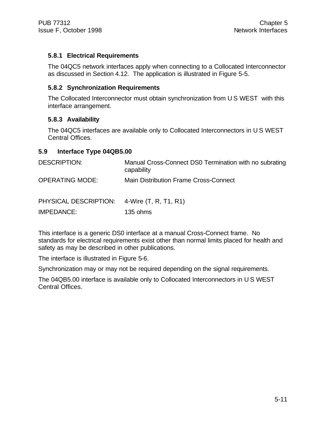## **5.8.1 Electrical Requirements**

The 04QC5 network interfaces apply when connecting to a Collocated Interconnector as discussed in Section 4.12. The application is illustrated in Figure 5-5.

#### **5.8.2 Synchronization Requirements**

The Collocated Interconnector must obtain synchronization from U S WEST with this interface arrangement.

#### **5.8.3 Availability**

The 04QC5 interfaces are available only to Collocated Interconnectors in U S WEST Central Offices.

#### **5.9 Interface Type 04QB5.00**

| <b>DESCRIPTION:</b>                         | Manual Cross-Connect DS0 Termination with no subrating<br>capability |
|---------------------------------------------|----------------------------------------------------------------------|
| <b>OPERATING MODE:</b>                      | <b>Main Distribution Frame Cross-Connect</b>                         |
| PHYSICAL DESCRIPTION: 4-Wire (T, R, T1, R1) |                                                                      |
| IMPEDANCE:                                  | 135 ohms                                                             |

This interface is a generic DS0 interface at a manual Cross-Connect frame. No standards for electrical requirements exist other than normal limits placed for health and safety as may be described in other publications.

The interface is illustrated in Figure 5-6.

Synchronization may or may not be required depending on the signal requirements.

The 04QB5.00 interface is available only to Collocated Interconnectors in U S WEST Central Offices.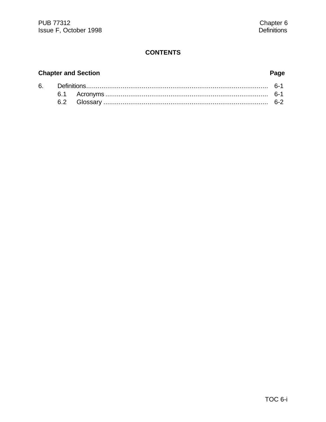# **CONTENTS**

# **Chapter and Section**

# Page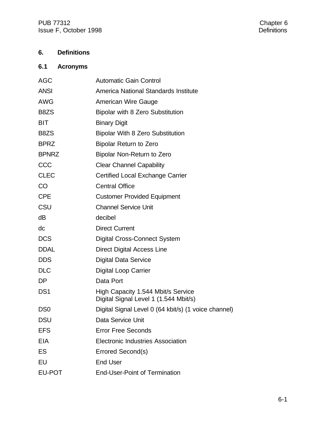PUB 77312<br>
Issue F, October 1998<br>
Issue F, October 1998 Issue F, October 1998

# **6. Definitions**

# **6.1 Acronyms**

| <b>AGC</b>      | <b>Automatic Gain Control</b>                                               |
|-----------------|-----------------------------------------------------------------------------|
| <b>ANSI</b>     | America National Standards Institute                                        |
| AWG             | <b>American Wire Gauge</b>                                                  |
| B8ZS            | Bipolar with 8 Zero Substitution                                            |
| <b>BIT</b>      | <b>Binary Digit</b>                                                         |
| B8ZS            | <b>Bipolar With 8 Zero Substitution</b>                                     |
| <b>BPRZ</b>     | <b>Bipolar Return to Zero</b>                                               |
| <b>BPNRZ</b>    | <b>Bipolar Non-Return to Zero</b>                                           |
| CCC             | <b>Clear Channel Capability</b>                                             |
| <b>CLEC</b>     | <b>Certified Local Exchange Carrier</b>                                     |
| CO              | <b>Central Office</b>                                                       |
| <b>CPE</b>      | <b>Customer Provided Equipment</b>                                          |
| CSU             | <b>Channel Service Unit</b>                                                 |
| dB              | decibel                                                                     |
| dc              | <b>Direct Current</b>                                                       |
| <b>DCS</b>      | <b>Digital Cross-Connect System</b>                                         |
| <b>DDAL</b>     | <b>Direct Digital Access Line</b>                                           |
| <b>DDS</b>      | <b>Digital Data Service</b>                                                 |
| <b>DLC</b>      | <b>Digital Loop Carrier</b>                                                 |
| DP              | Data Port                                                                   |
| DS <sub>1</sub> | High Capacity 1.544 Mbit/s Service<br>Digital Signal Level 1 (1.544 Mbit/s) |
| D <sub>S0</sub> | Digital Signal Level 0 (64 kbit/s) (1 voice channel)                        |
| <b>DSU</b>      | Data Service Unit                                                           |
| <b>EFS</b>      | <b>Error Free Seconds</b>                                                   |
| EIA             | <b>Electronic Industries Association</b>                                    |
| ES              | Errored Second(s)                                                           |
| EU              | <b>End User</b>                                                             |
| EU-POT          | <b>End-User-Point of Termination</b>                                        |
|                 |                                                                             |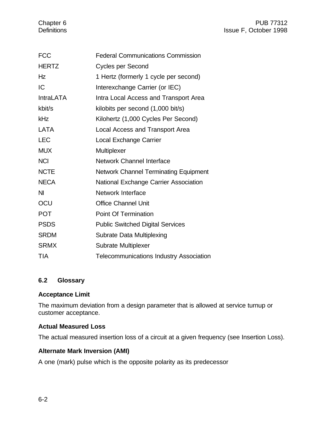#### Chapter 6 PUB 77312 Definitions **ISSUE F, October 1998**

| <b>FCC</b>       | <b>Federal Communications Commission</b>       |
|------------------|------------------------------------------------|
| <b>HERTZ</b>     | <b>Cycles per Second</b>                       |
| Hz               | 1 Hertz (formerly 1 cycle per second)          |
| IC               | Interexchange Carrier (or IEC)                 |
| <b>IntraLATA</b> | Intra Local Access and Transport Area          |
| kbit/s           | kilobits per second (1,000 bit/s)              |
| kHz              | Kilohertz (1,000 Cycles Per Second)            |
| LATA             | Local Access and Transport Area                |
| <b>LEC</b>       | Local Exchange Carrier                         |
| <b>MUX</b>       | <b>Multiplexer</b>                             |
| <b>NCI</b>       | Network Channel Interface                      |
| <b>NCTE</b>      | <b>Network Channel Terminating Equipment</b>   |
| <b>NECA</b>      | National Exchange Carrier Association          |
| NI               | Network Interface                              |
| OCU              | <b>Office Channel Unit</b>                     |
| <b>POT</b>       | <b>Point Of Termination</b>                    |
| <b>PSDS</b>      | <b>Public Switched Digital Services</b>        |
| <b>SRDM</b>      | Subrate Data Multiplexing                      |
| <b>SRMX</b>      | <b>Subrate Multiplexer</b>                     |
| <b>TIA</b>       | <b>Telecommunications Industry Association</b> |

# **6.2 Glossary**

#### **Acceptance Limit**

The maximum deviation from a design parameter that is allowed at service turnup or customer acceptance.

#### **Actual Measured Loss**

The actual measured insertion loss of a circuit at a given frequency (see Insertion Loss).

## **Alternate Mark Inversion (AMI)**

A one (mark) pulse which is the opposite polarity as its predecessor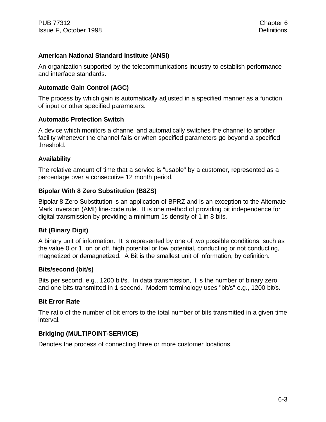## **American National Standard Institute (ANSI)**

An organization supported by the telecommunications industry to establish performance and interface standards.

## **Automatic Gain Control (AGC)**

The process by which gain is automatically adjusted in a specified manner as a function of input or other specified parameters.

#### **Automatic Protection Switch**

A device which monitors a channel and automatically switches the channel to another facility whenever the channel fails or when specified parameters go beyond a specified threshold.

#### **Availability**

The relative amount of time that a service is "usable" by a customer, represented as a percentage over a consecutive 12 month period.

#### **Bipolar With 8 Zero Substitution (B8ZS)**

Bipolar 8 Zero Substitution is an application of BPRZ and is an exception to the Alternate Mark Inversion (AMI) line-code rule. It is one method of providing bit independence for digital transmission by providing a minimum 1s density of 1 in 8 bits.

#### **Bit (Binary Digit)**

A binary unit of information. It is represented by one of two possible conditions, such as the value 0 or 1, on or off, high potential or low potential, conducting or not conducting, magnetized or demagnetized. A Bit is the smallest unit of information, by definition.

#### **Bits/second (bit/s)**

Bits per second, e.g., 1200 bit/s. In data transmission, it is the number of binary zero and one bits transmitted in 1 second. Modern terminology uses "bit/s" e.g., 1200 bit/s.

#### **Bit Error Rate**

The ratio of the number of bit errors to the total number of bits transmitted in a given time interval.

#### **Bridging (MULTIPOINT-SERVICE)**

Denotes the process of connecting three or more customer locations.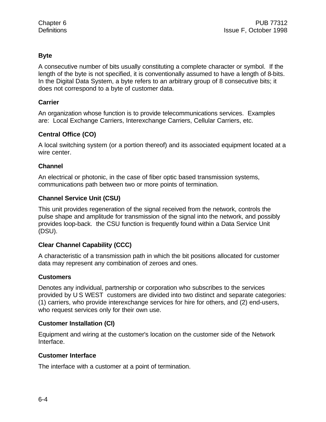# **Byte**

A consecutive number of bits usually constituting a complete character or symbol. If the length of the byte is not specified, it is conventionally assumed to have a length of 8-bits. In the Digital Data System, a byte refers to an arbitrary group of 8 consecutive bits; it does not correspond to a byte of customer data.

# **Carrier**

An organization whose function is to provide telecommunications services. Examples are: Local Exchange Carriers, Interexchange Carriers, Cellular Carriers, etc.

# **Central Office (CO)**

A local switching system (or a portion thereof) and its associated equipment located at a wire center.

# **Channel**

An electrical or photonic, in the case of fiber optic based transmission systems, communications path between two or more points of termination.

# **Channel Service Unit (CSU)**

This unit provides regeneration of the signal received from the network, controls the pulse shape and amplitude for transmission of the signal into the network, and possibly provides loop-back. the CSU function is frequently found within a Data Service Unit (DSU).

# **Clear Channel Capability (CCC)**

A characteristic of a transmission path in which the bit positions allocated for customer data may represent any combination of zeroes and ones.

# **Customers**

Denotes any individual, partnership or corporation who subscribes to the services provided by U S WEST customers are divided into two distinct and separate categories: (1) carriers, who provide interexchange services for hire for others, and (2) end-users, who request services only for their own use.

# **Customer Installation (CI)**

Equipment and wiring at the customer's location on the customer side of the Network Interface.

# **Customer Interface**

The interface with a customer at a point of termination.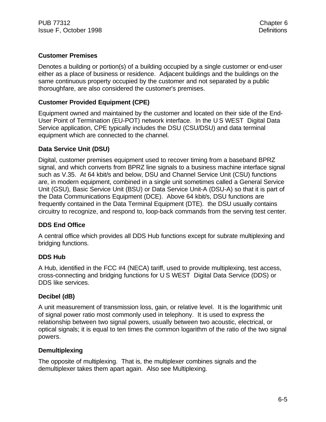# **Customer Premises**

Denotes a building or portion(s) of a building occupied by a single customer or end-user either as a place of business or residence. Adjacent buildings and the buildings on the same continuous property occupied by the customer and not separated by a public thoroughfare, are also considered the customer's premises.

# **Customer Provided Equipment (CPE)**

Equipment owned and maintained by the customer and located on their side of the End-User Point of Termination (EU-POT) network interface. In the U S WEST Digital Data Service application, CPE typically includes the DSU (CSU/DSU) and data terminal equipment which are connected to the channel.

## **Data Service Unit (DSU)**

Digital, customer premises equipment used to recover timing from a baseband BPRZ signal, and which converts from BPRZ line signals to a business machine interface signal such as V.35. At 64 kbit/s and below, DSU and Channel Service Unit (CSU) functions are, in modern equipment, combined in a single unit sometimes called a General Service Unit (GSU), Basic Service Unit (BSU) or Data Service Unit-A (DSU-A) so that it is part of the Data Communications Equipment (DCE). Above 64 kbit/s, DSU functions are frequently contained in the Data Terminal Equipment (DTE). the DSU usually contains circuitry to recognize, and respond to, loop-back commands from the serving test center.

# **DDS End Office**

A central office which provides all DDS Hub functions except for subrate multiplexing and bridging functions.

#### **DDS Hub**

A Hub, identified in the FCC #4 (NECA) tariff, used to provide multiplexing, test access, cross-connecting and bridging functions for U S WEST Digital Data Service (DDS) or DDS like services.

#### **Decibel (dB)**

A unit measurement of transmission loss, gain, or relative level. It is the logarithmic unit of signal power ratio most commonly used in telephony. It is used to express the relationship between two signal powers, usually between two acoustic, electrical, or optical signals; it is equal to ten times the common logarithm of the ratio of the two signal powers.

#### **Demultiplexing**

The opposite of multiplexing. That is, the multiplexer combines signals and the demultiplexer takes them apart again. Also see Multiplexing.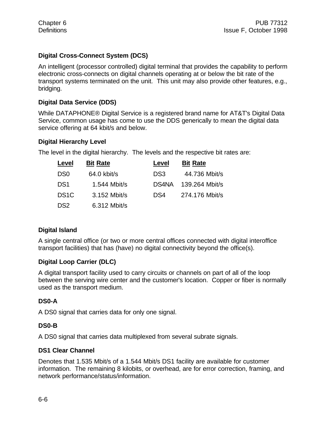# **Digital Cross-Connect System (DCS)**

An intelligent (processor controlled) digital terminal that provides the capability to perform electronic cross-connects on digital channels operating at or below the bit rate of the transport systems terminated on the unit. This unit may also provide other features, e.g., bridging.

# **Digital Data Service (DDS)**

While DATAPHONE® Digital Service is a registered brand name for AT&T's Digital Data Service, common usage has come to use the DDS generically to mean the digital data service offering at 64 kbit/s and below.

## **Digital Hierarchy Level**

The level in the digital hierarchy. The levels and the respective bit rates are:

| Level             | <b>Bit Rate</b> | Level | <b>Bit Rate</b> |
|-------------------|-----------------|-------|-----------------|
| D <sub>S0</sub>   | 64.0 kbit/s     | DS3   | 44.736 Mbit/s   |
| DS <sub>1</sub>   | 1.544 Mbit/s    | DS4NA | 139.264 Mbit/s  |
| DS <sub>1</sub> C | 3.152 Mbit/s    | DS4   | 274.176 Mbit/s  |
| DS <sub>2</sub>   | 6.312 Mbit/s    |       |                 |

# **Digital Island**

A single central office (or two or more central offices connected with digital interoffice transport facilities) that has (have) no digital connectivity beyond the office(s).

# **Digital Loop Carrier (DLC)**

A digital transport facility used to carry circuits or channels on part of all of the loop between the serving wire center and the customer's location. Copper or fiber is normally used as the transport medium.

# **DS0-A**

A DS0 signal that carries data for only one signal.

# **DS0-B**

A DS0 signal that carries data multiplexed from several subrate signals.

# **DS1 Clear Channel**

Denotes that 1.535 Mbit/s of a 1.544 Mbit/s DS1 facility are available for customer information. The remaining 8 kilobits, or overhead, are for error correction, framing, and network performance/status/information.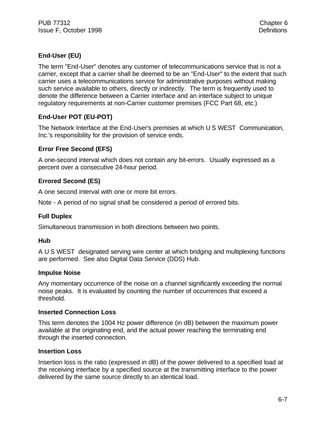# **End-User (EU)**

The term "End-User" denotes any customer of telecommunications service that is not a carrier, except that a carrier shall be deemed to be an "End-User" to the extent that such carrier uses a telecommunications service for administrative purposes without making such service available to others, directly or indirectly. The term is frequently used to denote the difference between a Carrier interface and an interface subject to unique regulatory requirements at non-Carrier customer premises (FCC Part 68, etc.)

# **End-User POT (EU-POT)**

The Network Interface at the End-User's premises at which U S WEST Communication, Inc.'s responsibility for the provision of service ends.

# **Error Free Second (EFS)**

A one-second interval which does not contain any bit-errors. Usually expressed as a percent over a consecutive 24-hour period.

# **Errored Second (ES)**

A one second interval with one or more bit errors.

Note - A period of no signal shall be considered a period of errored bits.

#### **Full Duplex**

Simultaneous transmission in both directions between two points.

#### **Hub**

A U S WEST designated serving wire center at which bridging and multiplexing functions are performed. See also Digital Data Service (DDS) Hub.

#### **Impulse Noise**

Any momentary occurrence of the noise on a channel significantly exceeding the normal noise peaks. It is evaluated by counting the number of occurrences that exceed a threshold.

#### **Inserted Connection Loss**

This term denotes the 1004 Hz power difference (in dB) between the maximum power available at the originating end, and the actual power reaching the terminating end through the inserted connection.

#### **Insertion Loss**

Insertion loss is the ratio (expressed in dB) of the power delivered to a specified load at the receiving interface by a specified source at the transmitting interface to the power delivered by the same source directly to an identical load.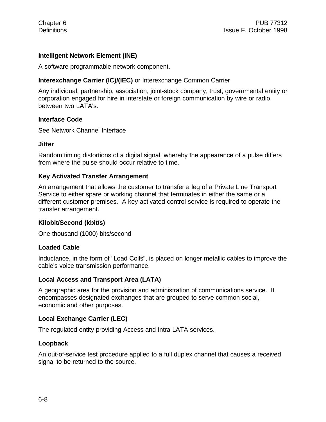#### **Intelligent Network Element (INE)**

A software programmable network component.

#### **Interexchange Carrier (IC)/(IEC)** or Interexchange Common Carrier

Any individual, partnership, association, joint-stock company, trust, governmental entity or corporation engaged for hire in interstate or foreign communication by wire or radio, between two LATA's.

#### **Interface Code**

See Network Channel Interface

#### **Jitter**

Random timing distortions of a digital signal, whereby the appearance of a pulse differs from where the pulse should occur relative to time.

#### **Key Activated Transfer Arrangement**

An arrangement that allows the customer to transfer a leg of a Private Line Transport Service to either spare or working channel that terminates in either the same or a different customer premises. A key activated control service is required to operate the transfer arrangement.

#### **Kilobit/Second (kbit/s)**

One thousand (1000) bits/second

#### **Loaded Cable**

Inductance, in the form of "Load Coils", is placed on longer metallic cables to improve the cable's voice transmission performance.

#### **Local Access and Transport Area (LATA)**

A geographic area for the provision and administration of communications service. It encompasses designated exchanges that are grouped to serve common social, economic and other purposes.

#### **Local Exchange Carrier (LEC)**

The regulated entity providing Access and Intra-LATA services.

#### **Loopback**

An out-of-service test procedure applied to a full duplex channel that causes a received signal to be returned to the source.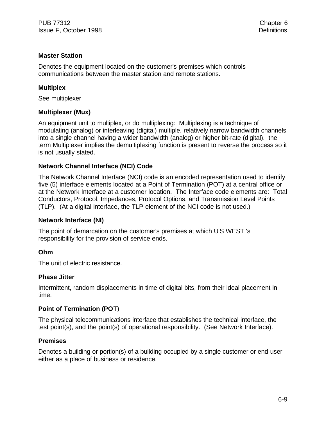## **Master Station**

Denotes the equipment located on the customer's premises which controls communications between the master station and remote stations.

## **Multiplex**

See multiplexer

## **Multiplexer (Mux)**

An equipment unit to multiplex, or do multiplexing: Multiplexing is a technique of modulating (analog) or interleaving (digital) multiple, relatively narrow bandwidth channels into a single channel having a wider bandwidth (analog) or higher bit-rate (digital). the term Multiplexer implies the demultiplexing function is present to reverse the process so it is not usually stated.

## **Network Channel Interface (NCI) Code**

The Network Channel Interface (NCI) code is an encoded representation used to identify five (5) interface elements located at a Point of Termination (POT) at a central office or at the Network Interface at a customer location. The Interface code elements are: Total Conductors, Protocol, Impedances, Protocol Options, and Transmission Level Points (TLP). (At a digital interface, the TLP element of the NCI code is not used.)

#### **Network Interface (NI)**

The point of demarcation on the customer's premises at which U S WEST 's responsibility for the provision of service ends.

# **Ohm**

The unit of electric resistance.

#### **Phase Jitter**

Intermittent, random displacements in time of digital bits, from their ideal placement in time.

#### **Point of Termination (PO**T)

The physical telecommunications interface that establishes the technical interface, the test point(s), and the point(s) of operational responsibility. (See Network Interface).

#### **Premises**

Denotes a building or portion(s) of a building occupied by a single customer or end-user either as a place of business or residence.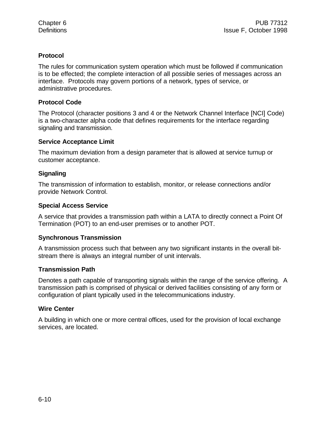# **Protocol**

The rules for communication system operation which must be followed if communication is to be effected; the complete interaction of all possible series of messages across an interface. Protocols may govern portions of a network, types of service, or administrative procedures.

## **Protocol Code**

The Protocol (character positions 3 and 4 or the Network Channel Interface [NCI] Code) is a two-character alpha code that defines requirements for the interface regarding signaling and transmission.

#### **Service Acceptance Limit**

The maximum deviation from a design parameter that is allowed at service turnup or customer acceptance.

# **Signaling**

The transmission of information to establish, monitor, or release connections and/or provide Network Control.

## **Special Access Service**

A service that provides a transmission path within a LATA to directly connect a Point Of Termination (POT) to an end-user premises or to another POT.

#### **Synchronous Transmission**

A transmission process such that between any two significant instants in the overall bitstream there is always an integral number of unit intervals.

#### **Transmission Path**

Denotes a path capable of transporting signals within the range of the service offering. A transmission path is comprised of physical or derived facilities consisting of any form or configuration of plant typically used in the telecommunications industry.

#### **Wire Center**

A building in which one or more central offices, used for the provision of local exchange services, are located.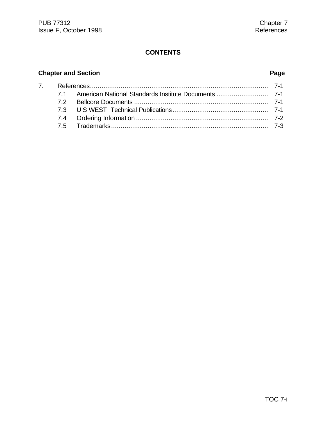# **CONTENTS**

# **Chapter and Section Page**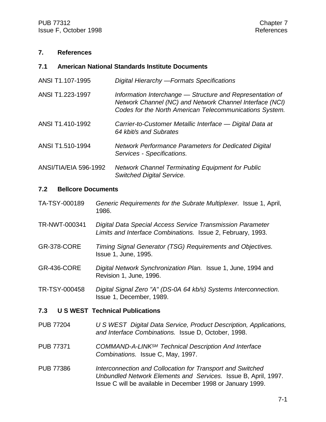#### **7. References**

#### **7.1 American National Standards Institute Documents**

| ANSI T1.107-1995             | Digital Hierarchy - Formats Specifications                                                                                                                                       |
|------------------------------|----------------------------------------------------------------------------------------------------------------------------------------------------------------------------------|
| ANSI T1.223-1997             | Information Interchange - Structure and Representation of<br>Network Channel (NC) and Network Channel Interface (NCI)<br>Codes for the North American Telecommunications System. |
| ANSI T1.410-1992             | Carrier-to-Customer Metallic Interface — Digital Data at<br>64 kbit/s and Subrates                                                                                               |
| ANSI T1.510-1994             | <b>Network Performance Parameters for Dedicated Digital</b><br>Services - Specifications.                                                                                        |
| <b>ANSI/TIA/EIA 596-1992</b> | <b>Network Channel Terminating Equipment for Public</b><br><b>Switched Digital Service.</b>                                                                                      |

#### **7.2 Bellcore Documents**

| TA-TSY-000189 | Generic Requirements for the Subrate Multiplexer. Issue 1, April, |  |
|---------------|-------------------------------------------------------------------|--|
|               | 1986.                                                             |  |

TR-NWT-000341 *Digital Data Special Access Service Transmission Parameter Limits and Interface Combinations.* Issue 2, February, 1993.

GR-378-CORE *Timing Signal Generator (TSG) Requirements and Objectives.* Issue 1, June, 1995.

GR-436-CORE *Digital Network Synchronization Plan.* Issue 1, June, 1994 and Revision 1, June, 1996.

TR-TSY-000458 *Digital Signal Zero "A" (DS-0A 64 kb/s) Systems Interconnection.* Issue 1, December, 1989.

#### **7.3 U S WEST Technical Publications**

PUB 77204 *U S WEST Digital Data Service, Product Description, Applications, and Interface Combinations.* Issue D, October, 1998.

PUB 77371 *COMMAND-A-LINKSM Technical Description And Interface Combinations.* Issue C, May, 1997.

PUB 77386 *Interconnection and Collocation for Transport and Switched Unbundled Network Elements and Services.* Issue B, April, 1997. Issue C will be available in December 1998 or January 1999.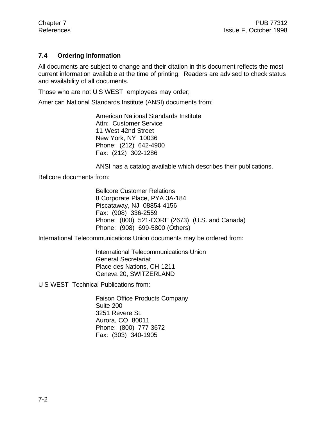# **7.4 Ordering Information**

All documents are subject to change and their citation in this document reflects the most current information available at the time of printing. Readers are advised to check status and availability of all documents.

Those who are not U S WEST employees may order;

American National Standards Institute (ANSI) documents from:

American National Standards Institute Attn: Customer Service 11 West 42nd Street New York, NY 10036 Phone: (212) 642-4900 Fax: (212) 302-1286

ANSI has a catalog available which describes their publications.

Bellcore documents from:

Bellcore Customer Relations 8 Corporate Place, PYA 3A-184 Piscataway, NJ 08854-4156 Fax: (908) 336-2559 Phone: (800) 521-CORE (2673) (U.S. and Canada) Phone: (908) 699-5800 (Others)

International Telecommunications Union documents may be ordered from:

International Telecommunications Union General Secretariat Place des Nations, CH-1211 Geneva 20, SWITZERLAND

U S WEST Technical Publications from:

Faison Office Products Company Suite 200 3251 Revere St. Aurora, CO 80011 Phone: (800) 777-3672 Fax: (303) 340-1905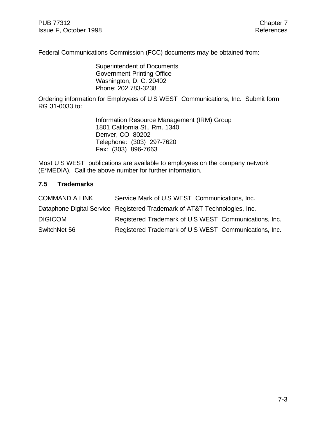Federal Communications Commission (FCC) documents may be obtained from:

Superintendent of Documents Government Printing Office Washington, D. C. 20402 Phone: 202 783-3238

Ordering information for Employees of U S WEST Communications, Inc. Submit form RG 31-0033 to:

> Information Resource Management (IRM) Group 1801 California St., Rm. 1340 Denver, CO 80202 Telephone: (303) 297-7620 Fax: (303) 896-7663

Most U S WEST publications are available to employees on the company network (E\*MEDIA). Call the above number for further information.

#### **7.5 Trademarks**

| <b>COMMAND A LINK</b> | Service Mark of U S WEST Communications, Inc.                             |
|-----------------------|---------------------------------------------------------------------------|
|                       | Dataphone Digital Service Registered Trademark of AT&T Technologies, Inc. |
| <b>DIGICOM</b>        | Registered Trademark of U S WEST Communications, Inc.                     |
| SwitchNet 56          | Registered Trademark of US WEST Communications, Inc.                      |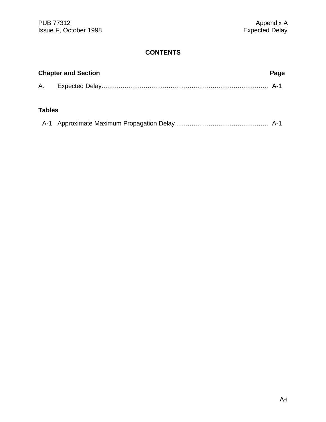# **CONTENTS**

| <b>Chapter and Section</b> |  | Page |
|----------------------------|--|------|
|                            |  |      |
| <b>Tables</b>              |  |      |
|                            |  |      |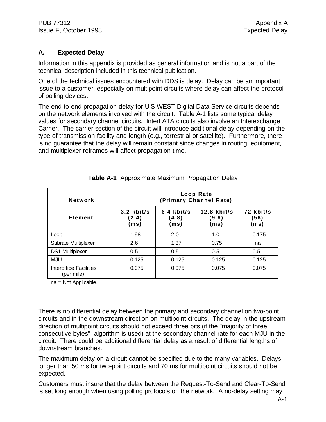# **A. Expected Delay**

Information in this appendix is provided as general information and is not a part of the technical description included in this technical publication.

One of the technical issues encountered with DDS is delay. Delay can be an important issue to a customer, especially on multipoint circuits where delay can affect the protocol of polling devices.

The end-to-end propagation delay for U S WEST Digital Data Service circuits depends on the network elements involved with the circuit. Table A-1 lists some typical delay values for secondary channel circuits. InterLATA circuits also involve an Interexchange Carrier. The carrier section of the circuit will introduce additional delay depending on the type of transmission facility and length (e.g., terrestrial or satellite). Furthermore, there is no guarantee that the delay will remain constant since changes in routing, equipment, and multiplexer reframes will affect propagation time.

| <b>Network</b>                       | Loop Rate<br>(Primary Channel Rate) |                               |                                |                           |  |
|--------------------------------------|-------------------------------------|-------------------------------|--------------------------------|---------------------------|--|
| <b>Element</b>                       | $3.2$ kbit/s<br>(2.4)<br>(ms)       | $6.4$ kbit/s<br>(4.8)<br>(ms) | $12.8$ kbit/s<br>(9.6)<br>(ms) | 72 kbit/s<br>(56)<br>(ms) |  |
| Loop                                 | 1.98                                | 2.0                           | 1.0                            | 0.175                     |  |
| <b>Subrate Multiplexer</b>           | 2.6                                 | 1.37                          | 0.75                           | na                        |  |
| <b>DS1 Multiplexer</b>               | 0.5                                 | 0.5                           | 0.5                            | 0.5                       |  |
| MJU                                  | 0.125                               | 0.125                         | 0.125                          | 0.125                     |  |
| Interoffice Facilities<br>(per mile) | 0.075                               | 0.075                         | 0.075                          | 0.075                     |  |

|  | <b>Table A-1</b> Approximate Maximum Propagation Delay |  |  |  |
|--|--------------------------------------------------------|--|--|--|
|--|--------------------------------------------------------|--|--|--|

na = Not Applicable.

There is no differential delay between the primary and secondary channel on two-point circuits and in the downstream direction on multipoint circuits. The delay in the upstream direction of multipoint circuits should not exceed three bits (if the "majority of three consecutive bytes" algorithm is used) at the secondary channel rate for each MJU in the circuit. There could be additional differential delay as a result of differential lengths of downstream branches.

The maximum delay on a circuit cannot be specified due to the many variables. Delays longer than 50 ms for two-point circuits and 70 ms for multipoint circuits should not be expected.

Customers must insure that the delay between the Request-To-Send and Clear-To-Send is set long enough when using polling protocols on the network. A no-delay setting may